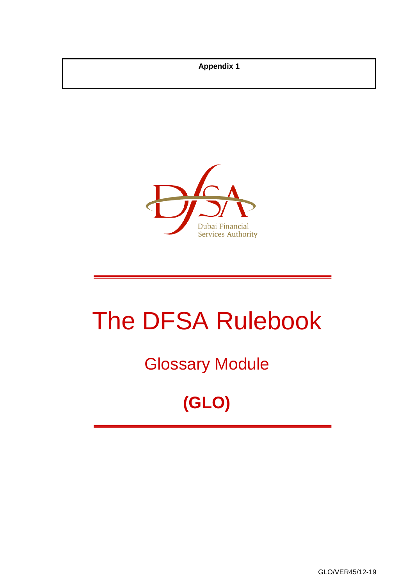**Appendix 1**



# The DFSA Rulebook

## Glossary Module

## **(GLO)**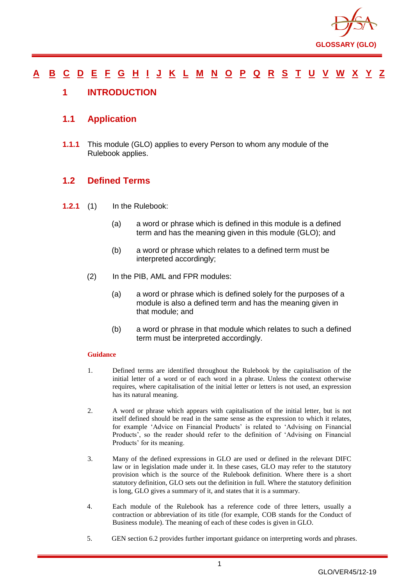

#### <u>[A](#page-2-0) [B](#page-7-0) [C](#page-9-0) [D](#page-18-0) [E](#page-22-0) [F](#page-23-0) [G](#page-26-0) [H](#page-30-0) [I](#page-31-0) [J](#page-36-0) [K](#page-36-1) [L](#page-37-0) [M](#page-40-0) [N](#page-43-0) [O](#page-45-0) [P](#page-47-0) [Q](#page-53-0) [R](#page-54-0) [S](#page-59-0) [T](#page-63-0) [U](#page-65-0) [V](#page-66-0) [W](#page-67-0) [X](#page-68-0) [Y](#page-69-0) [Z](#page-70-0)</u>

#### <span id="page-1-0"></span>**1 INTRODUCTION**

#### **1.1 Application**

**1.1.1** This module (GLO) applies to every Person to whom any module of the Rulebook applies.

#### **1.2 Defined Terms**

- **1.2.1** (1) In the Rulebook:
	- (a) a word or phrase which is defined in this module is a defined term and has the meaning given in this module (GLO); and
	- (b) a word or phrase which relates to a defined term must be interpreted accordingly;
	- (2) In the PIB, AML and FPR modules:
		- (a) a word or phrase which is defined solely for the purposes of a module is also a defined term and has the meaning given in that module; and
		- (b) a word or phrase in that module which relates to such a defined term must be interpreted accordingly.

#### **Guidance**

- 1. Defined terms are identified throughout the Rulebook by the capitalisation of the initial letter of a word or of each word in a phrase. Unless the context otherwise requires, where capitalisation of the initial letter or letters is not used, an expression has its natural meaning.
- 2. A word or phrase which appears with capitalisation of the initial letter, but is not itself defined should be read in the same sense as the expression to which it relates, for example 'Advice on Financial Products' is related to 'Advising on Financial Products', so the reader should refer to the definition of 'Advising on Financial Products' for its meaning.
- 3. Many of the defined expressions in GLO are used or defined in the relevant DIFC law or in legislation made under it. In these cases, GLO may refer to the statutory provision which is the source of the Rulebook definition. Where there is a short statutory definition, GLO sets out the definition in full. Where the statutory definition is long, GLO gives a summary of it, and states that it is a summary.
- 4. Each module of the Rulebook has a reference code of three letters, usually a contraction or abbreviation of its title (for example, COB stands for the Conduct of Business module). The meaning of each of these codes is given in GLO.
- 5. GEN section 6.2 provides further important guidance on interpreting words and phrases.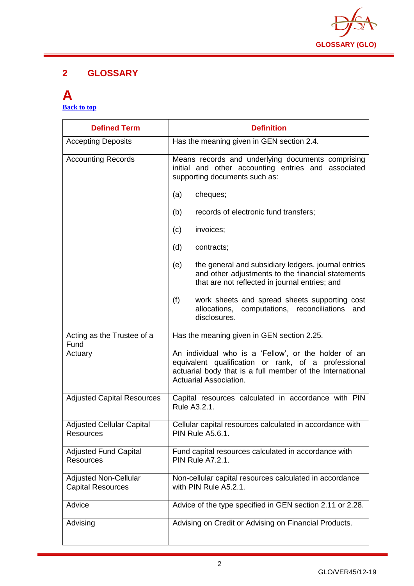

#### **2 GLOSSARY**

#### <span id="page-2-0"></span>**A [Back to top](#page-1-0)**

| <b>Defined Term</b>                                      | <b>Definition</b>                                                                                                                                                                                         |
|----------------------------------------------------------|-----------------------------------------------------------------------------------------------------------------------------------------------------------------------------------------------------------|
| <b>Accepting Deposits</b>                                | Has the meaning given in GEN section 2.4.                                                                                                                                                                 |
| <b>Accounting Records</b>                                | Means records and underlying documents comprising<br>initial and other accounting entries and associated<br>supporting documents such as:                                                                 |
|                                                          | (a)<br>cheques;                                                                                                                                                                                           |
|                                                          | (b)<br>records of electronic fund transfers;                                                                                                                                                              |
|                                                          | (c)<br>invoices;                                                                                                                                                                                          |
|                                                          | (d)<br>contracts;                                                                                                                                                                                         |
|                                                          | the general and subsidiary ledgers, journal entries<br>(e)<br>and other adjustments to the financial statements<br>that are not reflected in journal entries; and                                         |
|                                                          | (f)<br>work sheets and spread sheets supporting cost<br>computations, reconciliations<br>allocations,<br>and<br>disclosures.                                                                              |
| Acting as the Trustee of a<br>Fund                       | Has the meaning given in GEN section 2.25.                                                                                                                                                                |
| Actuary                                                  | An individual who is a 'Fellow', or the holder of an<br>equivalent qualification or rank, of a professional<br>actuarial body that is a full member of the International<br><b>Actuarial Association.</b> |
| <b>Adjusted Capital Resources</b>                        | Capital resources calculated in accordance with PIN<br>Rule A3.2.1.                                                                                                                                       |
| <b>Adjusted Cellular Capital</b><br><b>Resources</b>     | Cellular capital resources calculated in accordance with<br><b>PIN Rule A5.6.1.</b>                                                                                                                       |
| <b>Adjusted Fund Capital</b><br>Resources                | Fund capital resources calculated in accordance with<br><b>PIN Rule A7.2.1.</b>                                                                                                                           |
| <b>Adjusted Non-Cellular</b><br><b>Capital Resources</b> | Non-cellular capital resources calculated in accordance<br>with PIN Rule A5.2.1.                                                                                                                          |
| Advice                                                   | Advice of the type specified in GEN section 2.11 or 2.28.                                                                                                                                                 |
| Advising                                                 | Advising on Credit or Advising on Financial Products.                                                                                                                                                     |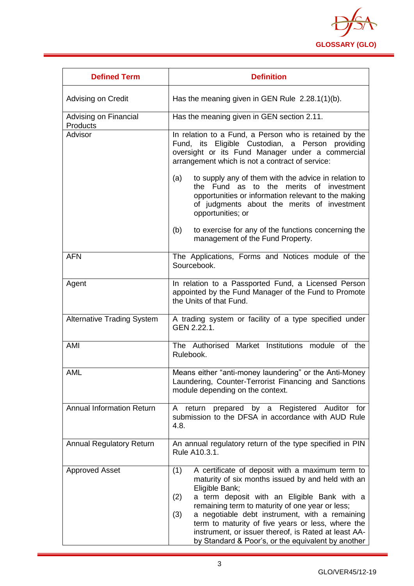

| <b>Defined Term</b>               | <b>Definition</b>                                                                                                                                                                                                                                                                                                                                                                                                                                                  |
|-----------------------------------|--------------------------------------------------------------------------------------------------------------------------------------------------------------------------------------------------------------------------------------------------------------------------------------------------------------------------------------------------------------------------------------------------------------------------------------------------------------------|
| Advising on Credit                | Has the meaning given in GEN Rule $2.28.1(1)(b)$ .                                                                                                                                                                                                                                                                                                                                                                                                                 |
| Advising on Financial<br>Products | Has the meaning given in GEN section 2.11.                                                                                                                                                                                                                                                                                                                                                                                                                         |
| Advisor                           | In relation to a Fund, a Person who is retained by the<br>Fund, its Eligible Custodian, a Person providing<br>oversight or its Fund Manager under a commercial<br>arrangement which is not a contract of service:                                                                                                                                                                                                                                                  |
|                                   | to supply any of them with the advice in relation to<br>(a)<br>the Fund as to the merits of investment<br>opportunities or information relevant to the making<br>of judgments about the merits of investment<br>opportunities; or                                                                                                                                                                                                                                  |
|                                   | to exercise for any of the functions concerning the<br>(b)<br>management of the Fund Property.                                                                                                                                                                                                                                                                                                                                                                     |
| <b>AFN</b>                        | The Applications, Forms and Notices module of the<br>Sourcebook.                                                                                                                                                                                                                                                                                                                                                                                                   |
| Agent                             | In relation to a Passported Fund, a Licensed Person<br>appointed by the Fund Manager of the Fund to Promote<br>the Units of that Fund.                                                                                                                                                                                                                                                                                                                             |
| <b>Alternative Trading System</b> | A trading system or facility of a type specified under<br>GEN 2.22.1.                                                                                                                                                                                                                                                                                                                                                                                              |
| AMI                               | The Authorised Market Institutions module of the<br>Rulebook.                                                                                                                                                                                                                                                                                                                                                                                                      |
| <b>AML</b>                        | Means either "anti-money laundering" or the Anti-Money<br>Laundering, Counter-Terrorist Financing and Sanctions<br>module depending on the context.                                                                                                                                                                                                                                                                                                                |
| <b>Annual Information Return</b>  | prepared by a Registered Auditor for<br>return<br>A<br>submission to the DFSA in accordance with AUD Rule<br>4.8.                                                                                                                                                                                                                                                                                                                                                  |
| <b>Annual Regulatory Return</b>   | An annual regulatory return of the type specified in PIN<br>Rule A10.3.1.                                                                                                                                                                                                                                                                                                                                                                                          |
| <b>Approved Asset</b>             | A certificate of deposit with a maximum term to<br>(1)<br>maturity of six months issued by and held with an<br>Eligible Bank;<br>a term deposit with an Eligible Bank with a<br>(2)<br>remaining term to maturity of one year or less;<br>a negotiable debt instrument, with a remaining<br>(3)<br>term to maturity of five years or less, where the<br>instrument, or issuer thereof, is Rated at least AA-<br>by Standard & Poor's, or the equivalent by another |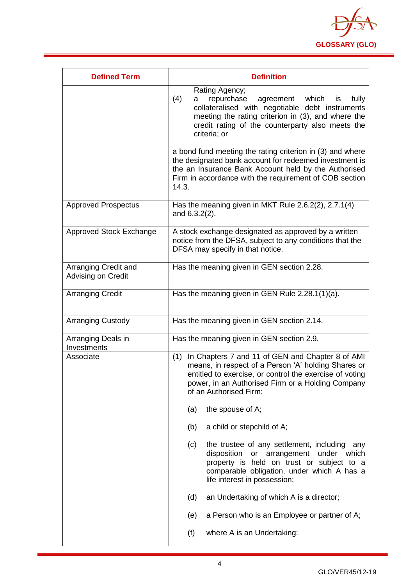

| <b>Defined Term</b>                        | <b>Definition</b>                                                                                                                                                                                                                                          |
|--------------------------------------------|------------------------------------------------------------------------------------------------------------------------------------------------------------------------------------------------------------------------------------------------------------|
|                                            | Rating Agency;<br>(4)<br>repurchase<br>agreement<br>which<br>fully<br>a<br>is<br>collateralised with negotiable debt instruments<br>meeting the rating criterion in (3), and where the<br>credit rating of the counterparty also meets the<br>criteria; or |
|                                            | a bond fund meeting the rating criterion in (3) and where<br>the designated bank account for redeemed investment is<br>the an Insurance Bank Account held by the Authorised<br>Firm in accordance with the requirement of COB section<br>14.3.             |
| <b>Approved Prospectus</b>                 | Has the meaning given in MKT Rule 2.6.2(2), 2.7.1(4)<br>and 6.3.2(2).                                                                                                                                                                                      |
| Approved Stock Exchange                    | A stock exchange designated as approved by a written<br>notice from the DFSA, subject to any conditions that the<br>DFSA may specify in that notice.                                                                                                       |
| Arranging Credit and<br>Advising on Credit | Has the meaning given in GEN section 2.28.                                                                                                                                                                                                                 |
| <b>Arranging Credit</b>                    | Has the meaning given in GEN Rule 2.28.1(1)(a).                                                                                                                                                                                                            |
| <b>Arranging Custody</b>                   | Has the meaning given in GEN section 2.14.                                                                                                                                                                                                                 |
| Arranging Deals in<br>Investments          | Has the meaning given in GEN section 2.9.                                                                                                                                                                                                                  |
| Associate                                  | In Chapters 7 and 11 of GEN and Chapter 8 of AMI<br>(1)<br>means, in respect of a Person 'A' holding Shares or<br>entitled to exercise, or control the exercise of voting<br>power, in an Authorised Firm or a Holding Company<br>of an Authorised Firm:   |
|                                            | the spouse of A;<br>(a)                                                                                                                                                                                                                                    |
|                                            | a child or stepchild of A;<br>(b)                                                                                                                                                                                                                          |
|                                            | the trustee of any settlement, including<br>(c)<br>any<br>disposition<br>or arrangement<br>under which<br>property is held on trust or subject to a<br>comparable obligation, under which A has a<br>life interest in possession;                          |
|                                            | (d)<br>an Undertaking of which A is a director;                                                                                                                                                                                                            |
|                                            | a Person who is an Employee or partner of A;<br>(e)                                                                                                                                                                                                        |
|                                            | (f)<br>where A is an Undertaking:                                                                                                                                                                                                                          |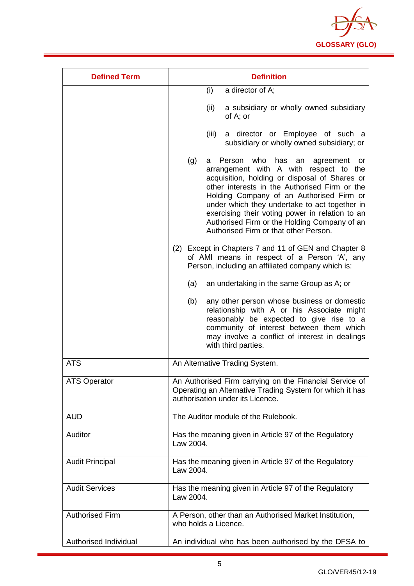

| <b>Defined Term</b>    | <b>Definition</b>                                                                                                                                                                                                                                                                                                                                                                                                                              |  |
|------------------------|------------------------------------------------------------------------------------------------------------------------------------------------------------------------------------------------------------------------------------------------------------------------------------------------------------------------------------------------------------------------------------------------------------------------------------------------|--|
|                        | a director of A;<br>(i)                                                                                                                                                                                                                                                                                                                                                                                                                        |  |
|                        | (ii)<br>a subsidiary or wholly owned subsidiary<br>of A; or                                                                                                                                                                                                                                                                                                                                                                                    |  |
|                        | (iii)<br>a director or Employee of such a<br>subsidiary or wholly owned subsidiary; or                                                                                                                                                                                                                                                                                                                                                         |  |
|                        | who<br>(g)<br>Person<br>has<br>an<br>agreement<br>a<br>or<br>arrangement with A with respect to the<br>acquisition, holding or disposal of Shares or<br>other interests in the Authorised Firm or the<br>Holding Company of an Authorised Firm or<br>under which they undertake to act together in<br>exercising their voting power in relation to an<br>Authorised Firm or the Holding Company of an<br>Authorised Firm or that other Person. |  |
|                        | (2) Except in Chapters 7 and 11 of GEN and Chapter 8<br>of AMI means in respect of a Person 'A', any<br>Person, including an affiliated company which is:                                                                                                                                                                                                                                                                                      |  |
|                        | an undertaking in the same Group as A; or<br>(a)                                                                                                                                                                                                                                                                                                                                                                                               |  |
|                        | (b)<br>any other person whose business or domestic<br>relationship with A or his Associate might<br>reasonably be expected to give rise to a<br>community of interest between them which<br>may involve a conflict of interest in dealings<br>with third parties.                                                                                                                                                                              |  |
| <b>ATS</b>             | An Alternative Trading System.                                                                                                                                                                                                                                                                                                                                                                                                                 |  |
| <b>ATS Operator</b>    | An Authorised Firm carrying on the Financial Service of<br>Operating an Alternative Trading System for which it has<br>authorisation under its Licence.                                                                                                                                                                                                                                                                                        |  |
| <b>AUD</b>             | The Auditor module of the Rulebook.                                                                                                                                                                                                                                                                                                                                                                                                            |  |
| Auditor                | Has the meaning given in Article 97 of the Regulatory<br>Law 2004.                                                                                                                                                                                                                                                                                                                                                                             |  |
| <b>Audit Principal</b> | Has the meaning given in Article 97 of the Regulatory<br>Law 2004.                                                                                                                                                                                                                                                                                                                                                                             |  |
| <b>Audit Services</b>  | Has the meaning given in Article 97 of the Regulatory<br>Law 2004.                                                                                                                                                                                                                                                                                                                                                                             |  |
| <b>Authorised Firm</b> | A Person, other than an Authorised Market Institution,<br>who holds a Licence.                                                                                                                                                                                                                                                                                                                                                                 |  |
| Authorised Individual  | An individual who has been authorised by the DFSA to                                                                                                                                                                                                                                                                                                                                                                                           |  |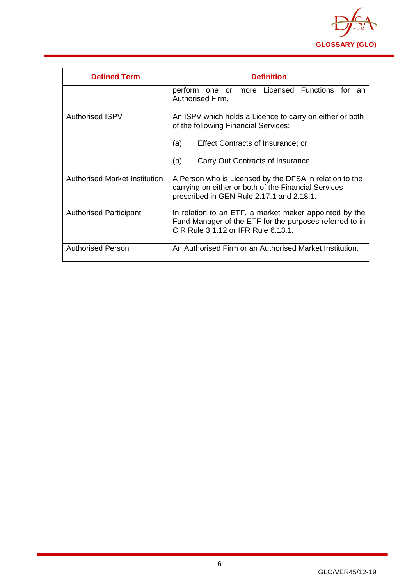

| <b>Defined Term</b>                  | <b>Definition</b>                                                                                                                                                                              |
|--------------------------------------|------------------------------------------------------------------------------------------------------------------------------------------------------------------------------------------------|
|                                      | perform one or more Licensed Functions for<br>an<br>Authorised Firm.                                                                                                                           |
| Authorised ISPV                      | An ISPV which holds a Licence to carry on either or both<br>of the following Financial Services:<br>(a)<br><b>Effect Contracts of Insurance; or</b><br>(b)<br>Carry Out Contracts of Insurance |
| <b>Authorised Market Institution</b> | A Person who is Licensed by the DFSA in relation to the<br>carrying on either or both of the Financial Services<br>prescribed in GEN Rule 2.17.1 and 2.18.1.                                   |
| <b>Authorised Participant</b>        | In relation to an ETF, a market maker appointed by the<br>Fund Manager of the ETF for the purposes referred to in<br>CIR Rule 3.1.12 or IFR Rule 6.13.1.                                       |
| <b>Authorised Person</b>             | An Authorised Firm or an Authorised Market Institution.                                                                                                                                        |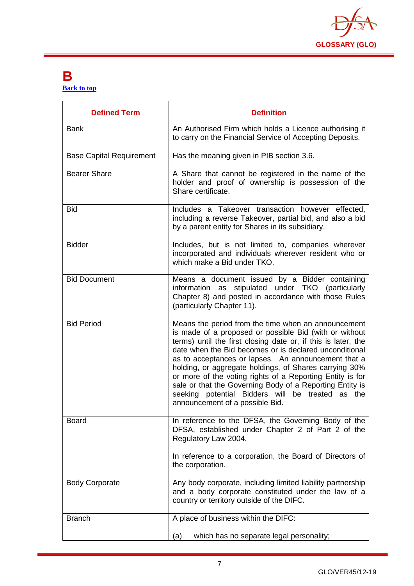

#### <span id="page-7-0"></span>**B [Back to top](#page-1-0)**

| <b>Defined Term</b>             | <b>Definition</b>                                                                                                                                                                                                                                                                                                                                                                                                                                                                                                                                                         |
|---------------------------------|---------------------------------------------------------------------------------------------------------------------------------------------------------------------------------------------------------------------------------------------------------------------------------------------------------------------------------------------------------------------------------------------------------------------------------------------------------------------------------------------------------------------------------------------------------------------------|
| <b>Bank</b>                     | An Authorised Firm which holds a Licence authorising it<br>to carry on the Financial Service of Accepting Deposits.                                                                                                                                                                                                                                                                                                                                                                                                                                                       |
| <b>Base Capital Requirement</b> | Has the meaning given in PIB section 3.6.                                                                                                                                                                                                                                                                                                                                                                                                                                                                                                                                 |
| <b>Bearer Share</b>             | A Share that cannot be registered in the name of the<br>holder and proof of ownership is possession of the<br>Share certificate.                                                                                                                                                                                                                                                                                                                                                                                                                                          |
| <b>Bid</b>                      | Includes a Takeover transaction however effected,<br>including a reverse Takeover, partial bid, and also a bid<br>by a parent entity for Shares in its subsidiary.                                                                                                                                                                                                                                                                                                                                                                                                        |
| <b>Bidder</b>                   | Includes, but is not limited to, companies wherever<br>incorporated and individuals wherever resident who or<br>which make a Bid under TKO.                                                                                                                                                                                                                                                                                                                                                                                                                               |
| <b>Bid Document</b>             | Means a document issued by a Bidder containing<br>stipulated under TKO (particularly<br>information as<br>Chapter 8) and posted in accordance with those Rules<br>(particularly Chapter 11).                                                                                                                                                                                                                                                                                                                                                                              |
| <b>Bid Period</b>               | Means the period from the time when an announcement<br>is made of a proposed or possible Bid (with or without<br>terms) until the first closing date or, if this is later, the<br>date when the Bid becomes or is declared unconditional<br>as to acceptances or lapses. An announcement that a<br>holding, or aggregate holdings, of Shares carrying 30%<br>or more of the voting rights of a Reporting Entity is for<br>sale or that the Governing Body of a Reporting Entity is<br>seeking potential Bidders will be treated as the<br>announcement of a possible Bid. |
| <b>Board</b>                    | In reference to the DFSA, the Governing Body of the<br>DFSA, established under Chapter 2 of Part 2 of the<br>Regulatory Law 2004.<br>In reference to a corporation, the Board of Directors of<br>the corporation.                                                                                                                                                                                                                                                                                                                                                         |
| <b>Body Corporate</b>           | Any body corporate, including limited liability partnership<br>and a body corporate constituted under the law of a<br>country or territory outside of the DIFC.                                                                                                                                                                                                                                                                                                                                                                                                           |
| <b>Branch</b>                   | A place of business within the DIFC:                                                                                                                                                                                                                                                                                                                                                                                                                                                                                                                                      |
|                                 | which has no separate legal personality;<br>(a)                                                                                                                                                                                                                                                                                                                                                                                                                                                                                                                           |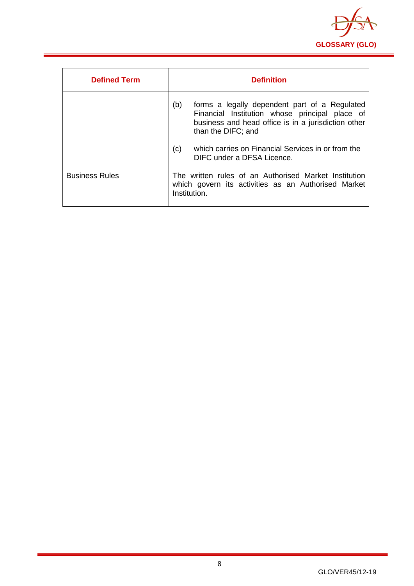

| <b>Defined Term</b>   | <b>Definition</b>                                                                                                                                                                   |
|-----------------------|-------------------------------------------------------------------------------------------------------------------------------------------------------------------------------------|
|                       | (b)<br>forms a legally dependent part of a Regulated<br>Financial Institution whose principal place of<br>business and head office is in a jurisdiction other<br>than the DIFC; and |
|                       | which carries on Financial Services in or from the<br>(c)<br>DIFC under a DFSA Licence.                                                                                             |
| <b>Business Rules</b> | The written rules of an Authorised Market Institution<br>which govern its activities as an Authorised Market<br>Institution.                                                        |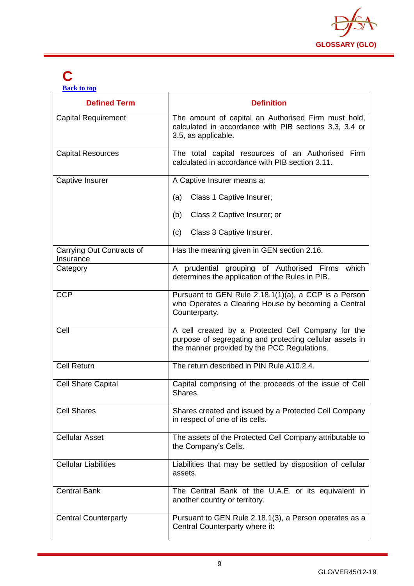

## <span id="page-9-0"></span>**C**

| <b>Back to top</b> |  |  |
|--------------------|--|--|
|                    |  |  |
|                    |  |  |

| <b>Defined Term</b>                    | <b>Definition</b>                                                                                                                                             |
|----------------------------------------|---------------------------------------------------------------------------------------------------------------------------------------------------------------|
| <b>Capital Requirement</b>             | The amount of capital an Authorised Firm must hold,<br>calculated in accordance with PIB sections 3.3, 3.4 or<br>3.5, as applicable.                          |
| <b>Capital Resources</b>               | The total capital resources of an Authorised Firm<br>calculated in accordance with PIB section 3.11.                                                          |
| Captive Insurer                        | A Captive Insurer means a:                                                                                                                                    |
|                                        | Class 1 Captive Insurer;<br>(a)                                                                                                                               |
|                                        | Class 2 Captive Insurer; or<br>(b)                                                                                                                            |
|                                        | Class 3 Captive Insurer.<br>(c)                                                                                                                               |
| Carrying Out Contracts of<br>Insurance | Has the meaning given in GEN section 2.16.                                                                                                                    |
| Category                               | A prudential grouping of Authorised Firms which<br>determines the application of the Rules in PIB.                                                            |
| <b>CCP</b>                             | Pursuant to GEN Rule 2.18.1(1)(a), a CCP is a Person<br>who Operates a Clearing House by becoming a Central<br>Counterparty.                                  |
| Cell                                   | A cell created by a Protected Cell Company for the<br>purpose of segregating and protecting cellular assets in<br>the manner provided by the PCC Regulations. |
| <b>Cell Return</b>                     | The return described in PIN Rule A10.2.4.                                                                                                                     |
| <b>Cell Share Capital</b>              | Capital comprising of the proceeds of the issue of Cell<br>Shares.                                                                                            |
| <b>Cell Shares</b>                     | Shares created and issued by a Protected Cell Company<br>in respect of one of its cells.                                                                      |
| <b>Cellular Asset</b>                  | The assets of the Protected Cell Company attributable to<br>the Company's Cells.                                                                              |
| <b>Cellular Liabilities</b>            | Liabilities that may be settled by disposition of cellular<br>assets.                                                                                         |
| <b>Central Bank</b>                    | The Central Bank of the U.A.E. or its equivalent in<br>another country or territory.                                                                          |
| <b>Central Counterparty</b>            | Pursuant to GEN Rule 2.18.1(3), a Person operates as a<br>Central Counterparty where it:                                                                      |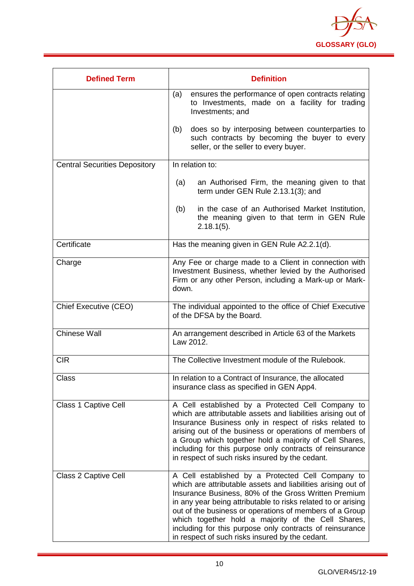

| <b>Defined Term</b>                  | <b>Definition</b>                                                                                                                                                                                                                                                                                                                                                                                                                                                          |
|--------------------------------------|----------------------------------------------------------------------------------------------------------------------------------------------------------------------------------------------------------------------------------------------------------------------------------------------------------------------------------------------------------------------------------------------------------------------------------------------------------------------------|
|                                      | ensures the performance of open contracts relating<br>(a)<br>to Investments, made on a facility for trading<br>Investments; and                                                                                                                                                                                                                                                                                                                                            |
|                                      | does so by interposing between counterparties to<br>(b)<br>such contracts by becoming the buyer to every<br>seller, or the seller to every buyer.                                                                                                                                                                                                                                                                                                                          |
| <b>Central Securities Depository</b> | In relation to:                                                                                                                                                                                                                                                                                                                                                                                                                                                            |
|                                      | (a)<br>an Authorised Firm, the meaning given to that<br>term under GEN Rule 2.13.1(3); and                                                                                                                                                                                                                                                                                                                                                                                 |
|                                      | in the case of an Authorised Market Institution,<br>(b)<br>the meaning given to that term in GEN Rule<br>$2.18.1(5)$ .                                                                                                                                                                                                                                                                                                                                                     |
| Certificate                          | Has the meaning given in GEN Rule A2.2.1(d).                                                                                                                                                                                                                                                                                                                                                                                                                               |
| Charge                               | Any Fee or charge made to a Client in connection with<br>Investment Business, whether levied by the Authorised<br>Firm or any other Person, including a Mark-up or Mark-<br>down.                                                                                                                                                                                                                                                                                          |
| <b>Chief Executive (CEO)</b>         | The individual appointed to the office of Chief Executive<br>of the DFSA by the Board.                                                                                                                                                                                                                                                                                                                                                                                     |
| <b>Chinese Wall</b>                  | An arrangement described in Article 63 of the Markets<br>Law 2012.                                                                                                                                                                                                                                                                                                                                                                                                         |
| <b>CIR</b>                           | The Collective Investment module of the Rulebook.                                                                                                                                                                                                                                                                                                                                                                                                                          |
| Class                                | In relation to a Contract of Insurance, the allocated<br>insurance class as specified in GEN App4.                                                                                                                                                                                                                                                                                                                                                                         |
| Class 1 Captive Cell                 | A Cell established by a Protected Cell Company to<br>which are attributable assets and liabilities arising out of<br>Insurance Business only in respect of risks related to<br>arising out of the business or operations of members of<br>a Group which together hold a majority of Cell Shares,<br>including for this purpose only contracts of reinsurance<br>in respect of such risks insured by the cedant.                                                            |
| Class 2 Captive Cell                 | A Cell established by a Protected Cell Company to<br>which are attributable assets and liabilities arising out of<br>Insurance Business, 80% of the Gross Written Premium<br>in any year being attributable to risks related to or arising<br>out of the business or operations of members of a Group<br>which together hold a majority of the Cell Shares,<br>including for this purpose only contracts of reinsurance<br>in respect of such risks insured by the cedant. |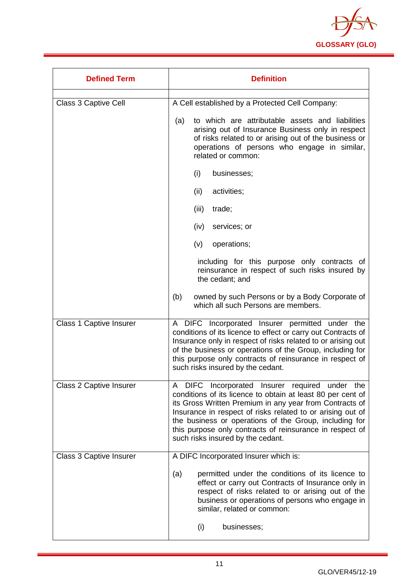

| <b>Defined Term</b>            | <b>Definition</b>                                                                                                                                                                                                                                                                                                                                                                                               |  |
|--------------------------------|-----------------------------------------------------------------------------------------------------------------------------------------------------------------------------------------------------------------------------------------------------------------------------------------------------------------------------------------------------------------------------------------------------------------|--|
| Class 3 Captive Cell           | A Cell established by a Protected Cell Company:                                                                                                                                                                                                                                                                                                                                                                 |  |
|                                | to which are attributable assets and liabilities<br>(a)<br>arising out of Insurance Business only in respect<br>of risks related to or arising out of the business or<br>operations of persons who engage in similar,<br>related or common:                                                                                                                                                                     |  |
|                                | (i)<br>businesses;                                                                                                                                                                                                                                                                                                                                                                                              |  |
|                                | (ii)<br>activities;                                                                                                                                                                                                                                                                                                                                                                                             |  |
|                                | (iii)<br>trade;                                                                                                                                                                                                                                                                                                                                                                                                 |  |
|                                | (iv)<br>services; or                                                                                                                                                                                                                                                                                                                                                                                            |  |
|                                | operations;<br>(v)                                                                                                                                                                                                                                                                                                                                                                                              |  |
|                                | including for this purpose only contracts of<br>reinsurance in respect of such risks insured by<br>the cedant; and                                                                                                                                                                                                                                                                                              |  |
|                                | (b)<br>owned by such Persons or by a Body Corporate of<br>which all such Persons are members.                                                                                                                                                                                                                                                                                                                   |  |
| <b>Class 1 Captive Insurer</b> | A DIFC Incorporated Insurer permitted under the<br>conditions of its licence to effect or carry out Contracts of<br>Insurance only in respect of risks related to or arising out<br>of the business or operations of the Group, including for<br>this purpose only contracts of reinsurance in respect of<br>such risks insured by the cedant.                                                                  |  |
| <b>Class 2 Captive Insurer</b> | DIFC Incorporated Insurer required under the<br>$\mathsf{A}$<br>conditions of its licence to obtain at least 80 per cent of<br>its Gross Written Premium in any year from Contracts of<br>Insurance in respect of risks related to or arising out of<br>the business or operations of the Group, including for<br>this purpose only contracts of reinsurance in respect of<br>such risks insured by the cedant. |  |
| <b>Class 3 Captive Insurer</b> | A DIFC Incorporated Insurer which is:                                                                                                                                                                                                                                                                                                                                                                           |  |
|                                | permitted under the conditions of its licence to<br>(a)<br>effect or carry out Contracts of Insurance only in<br>respect of risks related to or arising out of the<br>business or operations of persons who engage in<br>similar, related or common:                                                                                                                                                            |  |
|                                | (i)<br>businesses;                                                                                                                                                                                                                                                                                                                                                                                              |  |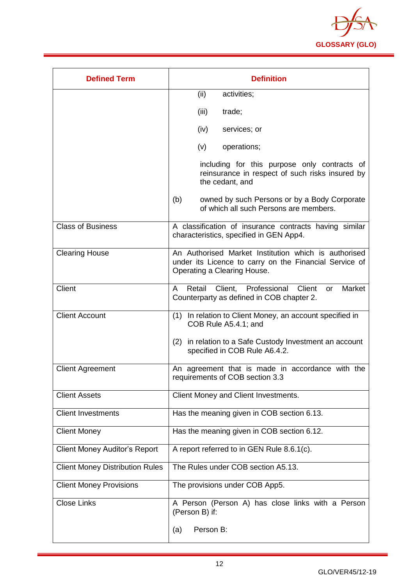

| <b>Defined Term</b>                    | <b>Definition</b>                                                                                                                             |
|----------------------------------------|-----------------------------------------------------------------------------------------------------------------------------------------------|
|                                        | (ii)<br>activities;                                                                                                                           |
|                                        | (iii)<br>trade;                                                                                                                               |
|                                        | (iv)<br>services; or                                                                                                                          |
|                                        | (v)<br>operations;                                                                                                                            |
|                                        | including for this purpose only contracts of<br>reinsurance in respect of such risks insured by<br>the cedant, and                            |
|                                        | (b)<br>owned by such Persons or by a Body Corporate<br>of which all such Persons are members.                                                 |
| <b>Class of Business</b>               | A classification of insurance contracts having similar<br>characteristics, specified in GEN App4.                                             |
| <b>Clearing House</b>                  | An Authorised Market Institution which is authorised<br>under its Licence to carry on the Financial Service of<br>Operating a Clearing House. |
| <b>Client</b>                          | Retail Client, Professional Client<br>Market<br>A<br>or<br>Counterparty as defined in COB chapter 2.                                          |
| <b>Client Account</b>                  | (1) In relation to Client Money, an account specified in<br>COB Rule A5.4.1; and                                                              |
|                                        | (2) in relation to a Safe Custody Investment an account<br>specified in COB Rule A6.4.2.                                                      |
| <b>Client Agreement</b>                | An agreement that is made in accordance with the<br>requirements of COB section 3.3                                                           |
| <b>Client Assets</b>                   | Client Money and Client Investments.                                                                                                          |
| <b>Client Investments</b>              | Has the meaning given in COB section 6.13.                                                                                                    |
| <b>Client Money</b>                    | Has the meaning given in COB section 6.12.                                                                                                    |
| <b>Client Money Auditor's Report</b>   | A report referred to in GEN Rule 8.6.1(c).                                                                                                    |
| <b>Client Money Distribution Rules</b> | The Rules under COB section A5.13.                                                                                                            |
| <b>Client Money Provisions</b>         | The provisions under COB App5.                                                                                                                |
| <b>Close Links</b>                     | A Person (Person A) has close links with a Person<br>(Person B) if:                                                                           |
|                                        | Person B:<br>(a)                                                                                                                              |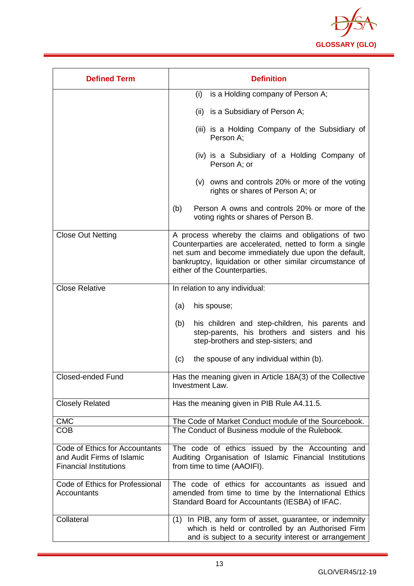

| <b>Defined Term</b>                                                                           | <b>Definition</b>                                                                                                                                                                                                                                                   |
|-----------------------------------------------------------------------------------------------|---------------------------------------------------------------------------------------------------------------------------------------------------------------------------------------------------------------------------------------------------------------------|
|                                                                                               | is a Holding company of Person A;<br>(i)                                                                                                                                                                                                                            |
|                                                                                               | (ii) is a Subsidiary of Person A;                                                                                                                                                                                                                                   |
|                                                                                               | (iii) is a Holding Company of the Subsidiary of<br>Person A;                                                                                                                                                                                                        |
|                                                                                               | (iv) is a Subsidiary of a Holding Company of<br>Person A; or                                                                                                                                                                                                        |
|                                                                                               | (v) owns and controls 20% or more of the voting<br>rights or shares of Person A; or                                                                                                                                                                                 |
|                                                                                               | Person A owns and controls 20% or more of the<br>(b)<br>voting rights or shares of Person B.                                                                                                                                                                        |
| <b>Close Out Netting</b>                                                                      | A process whereby the claims and obligations of two<br>Counterparties are accelerated, netted to form a single<br>net sum and become immediately due upon the default,<br>bankruptcy, liquidation or other similar circumstance of<br>either of the Counterparties. |
| <b>Close Relative</b>                                                                         | In relation to any individual:                                                                                                                                                                                                                                      |
|                                                                                               | (a)<br>his spouse;                                                                                                                                                                                                                                                  |
|                                                                                               | his children and step-children, his parents and<br>(b)<br>step-parents, his brothers and sisters and his<br>step-brothers and step-sisters; and                                                                                                                     |
|                                                                                               | the spouse of any individual within (b).<br>(c)                                                                                                                                                                                                                     |
| <b>Closed-ended Fund</b>                                                                      | Has the meaning given in Article 18A(3) of the Collective<br>Investment Law.                                                                                                                                                                                        |
| <b>Closely Related</b>                                                                        | Has the meaning given in PIB Rule A4.11.5.                                                                                                                                                                                                                          |
| <b>CMC</b>                                                                                    | The Code of Market Conduct module of the Sourcebook.                                                                                                                                                                                                                |
| <b>COB</b>                                                                                    | The Conduct of Business module of the Rulebook.                                                                                                                                                                                                                     |
| Code of Ethics for Accountants<br>and Audit Firms of Islamic<br><b>Financial Institutions</b> | The code of ethics issued by the Accounting and<br>Auditing Organisation of Islamic Financial Institutions<br>from time to time (AAOIFI).                                                                                                                           |
| Code of Ethics for Professional<br>Accountants                                                | The code of ethics for accountants as issued and<br>amended from time to time by the International Ethics<br>Standard Board for Accountants (IESBA) of IFAC.                                                                                                        |
| Collateral                                                                                    | In PIB, any form of asset, guarantee, or indemnity<br>(1)<br>which is held or controlled by an Authorised Firm<br>and is subject to a security interest or arrangement                                                                                              |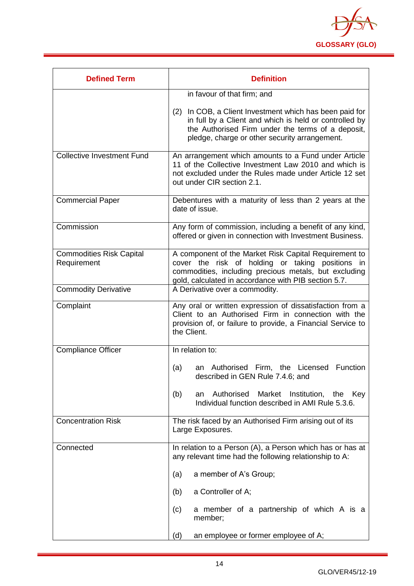

| <b>Defined Term</b>                            | <b>Definition</b>                                                                                                                                                                                                          |
|------------------------------------------------|----------------------------------------------------------------------------------------------------------------------------------------------------------------------------------------------------------------------------|
|                                                | in favour of that firm; and                                                                                                                                                                                                |
|                                                | (2) In COB, a Client Investment which has been paid for<br>in full by a Client and which is held or controlled by<br>the Authorised Firm under the terms of a deposit,<br>pledge, charge or other security arrangement.    |
| <b>Collective Investment Fund</b>              | An arrangement which amounts to a Fund under Article<br>11 of the Collective Investment Law 2010 and which is<br>not excluded under the Rules made under Article 12 set<br>out under CIR section 2.1.                      |
| <b>Commercial Paper</b>                        | Debentures with a maturity of less than 2 years at the<br>date of issue.                                                                                                                                                   |
| Commission                                     | Any form of commission, including a benefit of any kind,<br>offered or given in connection with Investment Business.                                                                                                       |
| <b>Commodities Risk Capital</b><br>Requirement | A component of the Market Risk Capital Requirement to<br>cover the risk of holding or taking positions in<br>commodities, including precious metals, but excluding<br>gold, calculated in accordance with PIB section 5.7. |
| <b>Commodity Derivative</b>                    | A Derivative over a commodity.                                                                                                                                                                                             |
| Complaint                                      | Any oral or written expression of dissatisfaction from a<br>Client to an Authorised Firm in connection with the<br>provision of, or failure to provide, a Financial Service to<br>the Client.                              |
| <b>Compliance Officer</b>                      | In relation to:                                                                                                                                                                                                            |
|                                                | (a)<br>Authorised Firm, the Licensed<br>Function<br>an<br>described in GEN Rule 7.4.6; and                                                                                                                                 |
|                                                | Market<br>(b)<br>Authorised<br>Institution, the<br>Kev<br>an<br>Individual function described in AMI Rule 5.3.6.                                                                                                           |
| <b>Concentration Risk</b>                      | The risk faced by an Authorised Firm arising out of its<br>Large Exposures.                                                                                                                                                |
| Connected                                      | In relation to a Person (A), a Person which has or has at<br>any relevant time had the following relationship to A:                                                                                                        |
|                                                | a member of A's Group;<br>(a)                                                                                                                                                                                              |
|                                                | a Controller of A;<br>(b)                                                                                                                                                                                                  |
|                                                | (c)<br>a member of a partnership of which A is a<br>member;                                                                                                                                                                |
|                                                | an employee or former employee of A;<br>(d)                                                                                                                                                                                |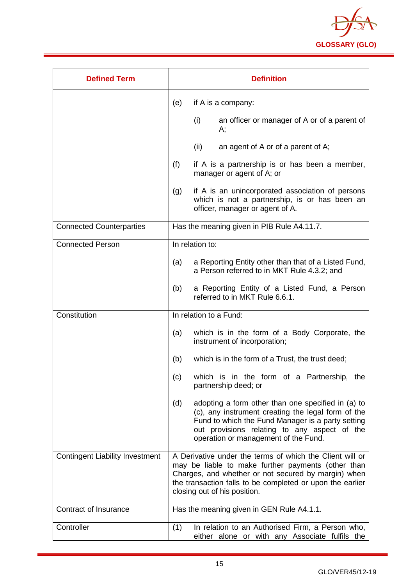

| <b>Defined Term</b>                    | <b>Definition</b>                                                                                                                                                                                                                                                  |
|----------------------------------------|--------------------------------------------------------------------------------------------------------------------------------------------------------------------------------------------------------------------------------------------------------------------|
|                                        | (e)<br>if A is a company:                                                                                                                                                                                                                                          |
|                                        | (i)<br>an officer or manager of A or of a parent of<br>А;                                                                                                                                                                                                          |
|                                        | (ii)<br>an agent of A or of a parent of A;                                                                                                                                                                                                                         |
|                                        | (f)<br>if A is a partnership is or has been a member,<br>manager or agent of A; or                                                                                                                                                                                 |
|                                        | if A is an unincorporated association of persons<br>(g)<br>which is not a partnership, is or has been an<br>officer, manager or agent of A.                                                                                                                        |
| <b>Connected Counterparties</b>        | Has the meaning given in PIB Rule A4.11.7.                                                                                                                                                                                                                         |
| <b>Connected Person</b>                | In relation to:                                                                                                                                                                                                                                                    |
|                                        | a Reporting Entity other than that of a Listed Fund,<br>(a)<br>a Person referred to in MKT Rule 4.3.2; and                                                                                                                                                         |
|                                        | (b)<br>a Reporting Entity of a Listed Fund, a Person<br>referred to in MKT Rule 6.6.1.                                                                                                                                                                             |
| Constitution                           | In relation to a Fund:                                                                                                                                                                                                                                             |
|                                        | which is in the form of a Body Corporate, the<br>(a)<br>instrument of incorporation;                                                                                                                                                                               |
|                                        | (b)<br>which is in the form of a Trust, the trust deed;                                                                                                                                                                                                            |
|                                        | (c)<br>which is in the form of a Partnership, the<br>partnership deed; or                                                                                                                                                                                          |
|                                        | (d)<br>adopting a form other than one specified in (a) to<br>(c), any instrument creating the legal form of the<br>Fund to which the Fund Manager is a party setting<br>out provisions relating to any aspect of the<br>operation or management of the Fund.       |
| <b>Contingent Liability Investment</b> | A Derivative under the terms of which the Client will or<br>may be liable to make further payments (other than<br>Charges, and whether or not secured by margin) when<br>the transaction falls to be completed or upon the earlier<br>closing out of his position. |
| Contract of Insurance                  | Has the meaning given in GEN Rule A4.1.1.                                                                                                                                                                                                                          |
| Controller                             | (1)<br>In relation to an Authorised Firm, a Person who,<br>either alone or with any Associate fulfils the                                                                                                                                                          |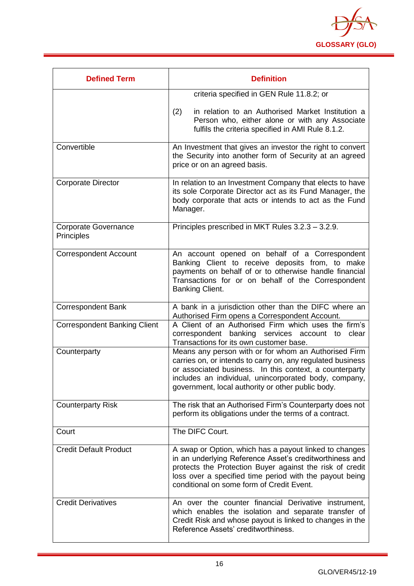

| <b>Defined Term</b>                       | <b>Definition</b>                                                                                                                                                                                                                                                                           |
|-------------------------------------------|---------------------------------------------------------------------------------------------------------------------------------------------------------------------------------------------------------------------------------------------------------------------------------------------|
|                                           | criteria specified in GEN Rule 11.8.2; or                                                                                                                                                                                                                                                   |
|                                           | in relation to an Authorised Market Institution a<br>(2)<br>Person who, either alone or with any Associate<br>fulfils the criteria specified in AMI Rule 8.1.2.                                                                                                                             |
| Convertible                               | An Investment that gives an investor the right to convert<br>the Security into another form of Security at an agreed<br>price or on an agreed basis.                                                                                                                                        |
| <b>Corporate Director</b>                 | In relation to an Investment Company that elects to have<br>its sole Corporate Director act as its Fund Manager, the<br>body corporate that acts or intends to act as the Fund<br>Manager.                                                                                                  |
| <b>Corporate Governance</b><br>Principles | Principles prescribed in MKT Rules 3.2.3 - 3.2.9.                                                                                                                                                                                                                                           |
| <b>Correspondent Account</b>              | An account opened on behalf of a Correspondent<br>Banking Client to receive deposits from, to make<br>payments on behalf of or to otherwise handle financial<br>Transactions for or on behalf of the Correspondent<br>Banking Client.                                                       |
| <b>Correspondent Bank</b>                 | A bank in a jurisdiction other than the DIFC where an<br>Authorised Firm opens a Correspondent Account.                                                                                                                                                                                     |
| <b>Correspondent Banking Client</b>       | A Client of an Authorised Firm which uses the firm's<br>correspondent banking services account to<br>clear<br>Transactions for its own customer base.                                                                                                                                       |
| Counterparty                              | Means any person with or for whom an Authorised Firm<br>carries on, or intends to carry on, any regulated business<br>or associated business. In this context, a counterparty<br>includes an individual, unincorporated body, company,<br>government, local authority or other public body. |
| <b>Counterparty Risk</b>                  | The risk that an Authorised Firm's Counterparty does not<br>perform its obligations under the terms of a contract.                                                                                                                                                                          |
| Court                                     | The DIFC Court.                                                                                                                                                                                                                                                                             |
| <b>Credit Default Product</b>             | A swap or Option, which has a payout linked to changes<br>in an underlying Reference Asset's creditworthiness and<br>protects the Protection Buyer against the risk of credit<br>loss over a specified time period with the payout being<br>conditional on some form of Credit Event.       |
| <b>Credit Derivatives</b>                 | An over the counter financial Derivative instrument,<br>which enables the isolation and separate transfer of<br>Credit Risk and whose payout is linked to changes in the<br>Reference Assets' creditworthiness.                                                                             |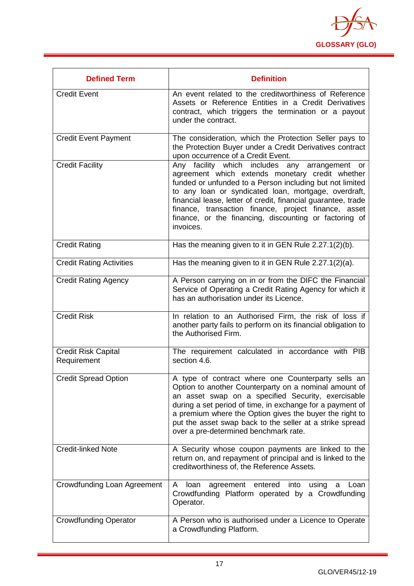

| <b>Defined Term</b>                       | <b>Definition</b>                                                                                                                                                                                                                                                                                                                                                                                                                  |
|-------------------------------------------|------------------------------------------------------------------------------------------------------------------------------------------------------------------------------------------------------------------------------------------------------------------------------------------------------------------------------------------------------------------------------------------------------------------------------------|
| <b>Credit Event</b>                       | An event related to the creditworthiness of Reference<br>Assets or Reference Entities in a Credit Derivatives<br>contract, which triggers the termination or a payout<br>under the contract.                                                                                                                                                                                                                                       |
| <b>Credit Event Payment</b>               | The consideration, which the Protection Seller pays to<br>the Protection Buyer under a Credit Derivatives contract<br>upon occurrence of a Credit Event.                                                                                                                                                                                                                                                                           |
| <b>Credit Facility</b>                    | Any facility which includes any<br>arrangement<br><b>or</b><br>agreement which extends monetary credit whether<br>funded or unfunded to a Person including but not limited<br>to any loan or syndicated loan, mortgage, overdraft,<br>financial lease, letter of credit, financial guarantee, trade<br>finance, transaction finance, project finance, asset<br>finance, or the financing, discounting or factoring of<br>invoices. |
| <b>Credit Rating</b>                      | Has the meaning given to it in GEN Rule 2.27.1(2)(b).                                                                                                                                                                                                                                                                                                                                                                              |
| <b>Credit Rating Activities</b>           | Has the meaning given to it in GEN Rule 2.27.1(2)(a).                                                                                                                                                                                                                                                                                                                                                                              |
| <b>Credit Rating Agency</b>               | A Person carrying on in or from the DIFC the Financial<br>Service of Operating a Credit Rating Agency for which it<br>has an authorisation under its Licence.                                                                                                                                                                                                                                                                      |
| <b>Credit Risk</b>                        | In relation to an Authorised Firm, the risk of loss if<br>another party fails to perform on its financial obligation to<br>the Authorised Firm.                                                                                                                                                                                                                                                                                    |
| <b>Credit Risk Capital</b><br>Requirement | The requirement calculated in accordance with PIB<br>section 4.6.                                                                                                                                                                                                                                                                                                                                                                  |
| <b>Credit Spread Option</b>               | A type of contract where one Counterparty sells an<br>Option to another Counterparty on a nominal amount of<br>an asset swap on a specified Security, exercisable<br>during a set period of time, in exchange for a payment of<br>a premium where the Option gives the buyer the right to<br>put the asset swap back to the seller at a strike spread<br>over a pre-determined benchmark rate.                                     |
| <b>Credit-linked Note</b>                 | A Security whose coupon payments are linked to the<br>return on, and repayment of principal and is linked to the<br>creditworthiness of, the Reference Assets.                                                                                                                                                                                                                                                                     |
| Crowdfunding Loan Agreement               | A loan<br>agreement entered into<br>using<br>Loan<br>a<br>Crowdfunding Platform operated by a Crowdfunding<br>Operator.                                                                                                                                                                                                                                                                                                            |
| <b>Crowdfunding Operator</b>              | A Person who is authorised under a Licence to Operate<br>a Crowdfunding Platform.                                                                                                                                                                                                                                                                                                                                                  |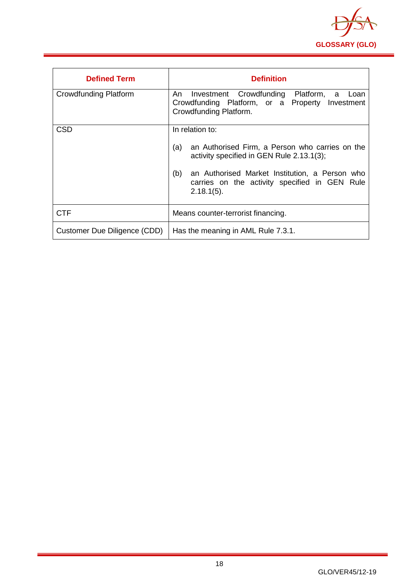

<span id="page-18-0"></span>

| <b>Defined Term</b>          | <b>Definition</b>                                                                                                                                                                                                                                 |
|------------------------------|---------------------------------------------------------------------------------------------------------------------------------------------------------------------------------------------------------------------------------------------------|
| <b>Crowdfunding Platform</b> | Investment Crowdfunding Platform, a Loan<br>An<br>Crowdfunding Platform, or a Property Investment<br>Crowdfunding Platform.                                                                                                                       |
| <b>CSD</b>                   | In relation to:<br>(a)<br>an Authorised Firm, a Person who carries on the<br>activity specified in GEN Rule 2.13.1(3);<br>(b)<br>an Authorised Market Institution, a Person who<br>carries on the activity specified in GEN Rule<br>$2.18.1(5)$ . |
| <b>CTF</b>                   | Means counter-terrorist financing.                                                                                                                                                                                                                |
| Customer Due Diligence (CDD) | Has the meaning in AML Rule 7.3.1.                                                                                                                                                                                                                |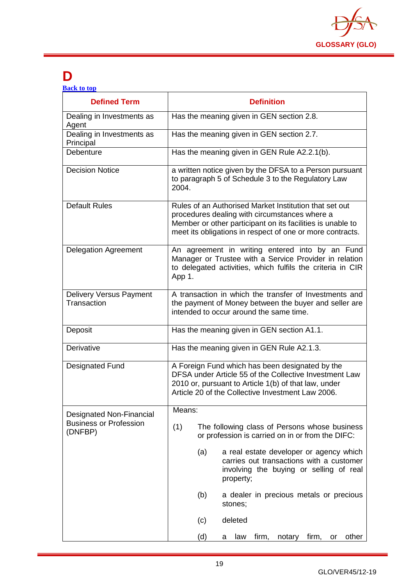

## **D**

| <b>Back to top</b> |  |  |
|--------------------|--|--|
|                    |  |  |

| <b>Defined Term</b>                           | <b>Definition</b>                                                                                                                                                                                                                  |
|-----------------------------------------------|------------------------------------------------------------------------------------------------------------------------------------------------------------------------------------------------------------------------------------|
| Dealing in Investments as<br>Agent            | Has the meaning given in GEN section 2.8.                                                                                                                                                                                          |
| Dealing in Investments as<br>Principal        | Has the meaning given in GEN section 2.7.                                                                                                                                                                                          |
| Debenture                                     | Has the meaning given in GEN Rule A2.2.1(b).                                                                                                                                                                                       |
| <b>Decision Notice</b>                        | a written notice given by the DFSA to a Person pursuant<br>to paragraph 5 of Schedule 3 to the Regulatory Law<br>2004.                                                                                                             |
| <b>Default Rules</b>                          | Rules of an Authorised Market Institution that set out<br>procedures dealing with circumstances where a<br>Member or other participant on its facilities is unable to<br>meet its obligations in respect of one or more contracts. |
| <b>Delegation Agreement</b>                   | An agreement in writing entered into by an Fund<br>Manager or Trustee with a Service Provider in relation<br>to delegated activities, which fulfils the criteria in CIR<br>App 1.                                                  |
| <b>Delivery Versus Payment</b><br>Transaction | A transaction in which the transfer of Investments and<br>the payment of Money between the buyer and seller are<br>intended to occur around the same time.                                                                         |
| Deposit                                       | Has the meaning given in GEN section A1.1.                                                                                                                                                                                         |
| Derivative                                    | Has the meaning given in GEN Rule A2.1.3.                                                                                                                                                                                          |
| <b>Designated Fund</b>                        | A Foreign Fund which has been designated by the<br>DFSA under Article 55 of the Collective Investment Law<br>2010 or, pursuant to Article 1(b) of that law, under<br>Article 20 of the Collective Investment Law 2006.             |
| <b>Designated Non-Financial</b>               | Means:                                                                                                                                                                                                                             |
| <b>Business or Profession</b><br>(DNFBP)      | (1)<br>The following class of Persons whose business<br>or profession is carried on in or from the DIFC:                                                                                                                           |
|                                               | a real estate developer or agency which<br>(a)<br>carries out transactions with a customer<br>involving the buying or selling of real<br>property;                                                                                 |
|                                               | a dealer in precious metals or precious<br>(b)<br>stones;                                                                                                                                                                          |
|                                               | deleted<br>(c)                                                                                                                                                                                                                     |
|                                               | (d)<br>firm, notary firm, or<br>other<br>law<br>a                                                                                                                                                                                  |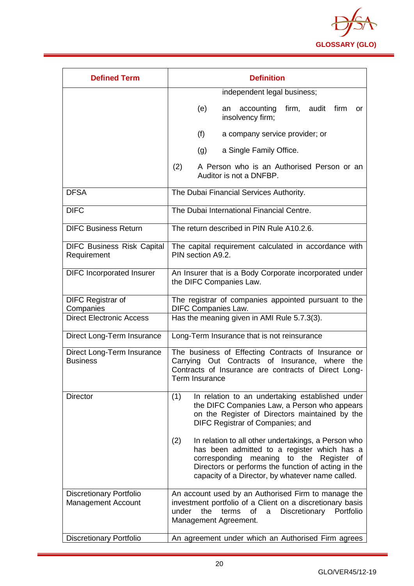

| <b>Defined Term</b>                                         | <b>Definition</b>                                                                                                                                                                                                                                                      |  |
|-------------------------------------------------------------|------------------------------------------------------------------------------------------------------------------------------------------------------------------------------------------------------------------------------------------------------------------------|--|
|                                                             | independent legal business;                                                                                                                                                                                                                                            |  |
|                                                             | firm, audit firm<br>(e)<br>accounting<br>an<br>or<br>insolvency firm;                                                                                                                                                                                                  |  |
|                                                             | (f)<br>a company service provider; or                                                                                                                                                                                                                                  |  |
|                                                             | a Single Family Office.<br>(g)                                                                                                                                                                                                                                         |  |
|                                                             | (2)<br>A Person who is an Authorised Person or an<br>Auditor is not a DNFBP.                                                                                                                                                                                           |  |
| <b>DFSA</b>                                                 | The Dubai Financial Services Authority.                                                                                                                                                                                                                                |  |
| <b>DIFC</b>                                                 | The Dubai International Financial Centre.                                                                                                                                                                                                                              |  |
| <b>DIFC Business Return</b>                                 | The return described in PIN Rule A10.2.6.                                                                                                                                                                                                                              |  |
| <b>DIFC Business Risk Capital</b><br>Requirement            | The capital requirement calculated in accordance with<br>PIN section A9.2.                                                                                                                                                                                             |  |
| <b>DIFC Incorporated Insurer</b>                            | An Insurer that is a Body Corporate incorporated under<br>the DIFC Companies Law.                                                                                                                                                                                      |  |
| <b>DIFC Registrar of</b><br>Companies                       | The registrar of companies appointed pursuant to the<br><b>DIFC Companies Law.</b>                                                                                                                                                                                     |  |
| <b>Direct Electronic Access</b>                             | Has the meaning given in AMI Rule 5.7.3(3).                                                                                                                                                                                                                            |  |
| Direct Long-Term Insurance                                  | Long-Term Insurance that is not reinsurance                                                                                                                                                                                                                            |  |
| Direct Long-Term Insurance<br><b>Business</b>               | The business of Effecting Contracts of Insurance or<br>Carrying Out Contracts of Insurance, where the<br>Contracts of Insurance are contracts of Direct Long-<br>Term Insurance                                                                                        |  |
| <b>Director</b>                                             | In relation to an undertaking established under<br>(1)<br>the DIFC Companies Law, a Person who appears<br>on the Register of Directors maintained by the<br>DIFC Registrar of Companies; and                                                                           |  |
|                                                             | (2)<br>In relation to all other undertakings, a Person who<br>has been admitted to a register which has a<br>corresponding meaning to the<br>Register<br>of<br>Directors or performs the function of acting in the<br>capacity of a Director, by whatever name called. |  |
| <b>Discretionary Portfolio</b><br><b>Management Account</b> | An account used by an Authorised Firm to manage the<br>investment portfolio of a Client on a discretionary basis<br>under<br>the<br>Discretionary<br>terms<br>of<br>$\mathsf{a}$<br>Portfolio<br>Management Agreement.                                                 |  |
| <b>Discretionary Portfolio</b>                              | An agreement under which an Authorised Firm agrees                                                                                                                                                                                                                     |  |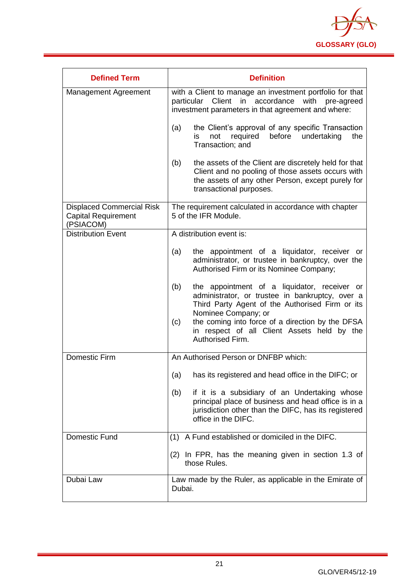

| <b>Defined Term</b>                                                         | <b>Definition</b>                                                                                                                                                                                                                                                                                              |
|-----------------------------------------------------------------------------|----------------------------------------------------------------------------------------------------------------------------------------------------------------------------------------------------------------------------------------------------------------------------------------------------------------|
| Management Agreement                                                        | with a Client to manage an investment portfolio for that<br>particular Client in accordance with<br>pre-agreed<br>investment parameters in that agreement and where:                                                                                                                                           |
|                                                                             | the Client's approval of any specific Transaction<br>(a)<br>before<br>required<br>undertaking<br>the<br>is<br>not<br>Transaction; and                                                                                                                                                                          |
|                                                                             | the assets of the Client are discretely held for that<br>(b)<br>Client and no pooling of those assets occurs with<br>the assets of any other Person, except purely for<br>transactional purposes.                                                                                                              |
| <b>Displaced Commercial Risk</b><br><b>Capital Requirement</b><br>(PSIACOM) | The requirement calculated in accordance with chapter<br>5 of the IFR Module.                                                                                                                                                                                                                                  |
| <b>Distribution Event</b>                                                   | A distribution event is:                                                                                                                                                                                                                                                                                       |
|                                                                             | the appointment of a liquidator, receiver or<br>(a)<br>administrator, or trustee in bankruptcy, over the<br>Authorised Firm or its Nominee Company;                                                                                                                                                            |
|                                                                             | the appointment of a liquidator, receiver or<br>(b)<br>administrator, or trustee in bankruptcy, over a<br>Third Party Agent of the Authorised Firm or its<br>Nominee Company; or<br>the coming into force of a direction by the DFSA<br>(c)<br>in respect of all Client Assets held by the<br>Authorised Firm. |
| <b>Domestic Firm</b>                                                        | An Authorised Person or DNFBP which:                                                                                                                                                                                                                                                                           |
|                                                                             | has its registered and head office in the DIFC; or<br>(a)                                                                                                                                                                                                                                                      |
|                                                                             | if it is a subsidiary of an Undertaking whose<br>(b)<br>principal place of business and head office is in a<br>jurisdiction other than the DIFC, has its registered<br>office in the DIFC.                                                                                                                     |
| Domestic Fund                                                               | (1) A Fund established or domiciled in the DIFC.                                                                                                                                                                                                                                                               |
|                                                                             | (2) In FPR, has the meaning given in section 1.3 of<br>those Rules.                                                                                                                                                                                                                                            |
| Dubai Law                                                                   | Law made by the Ruler, as applicable in the Emirate of<br>Dubai.                                                                                                                                                                                                                                               |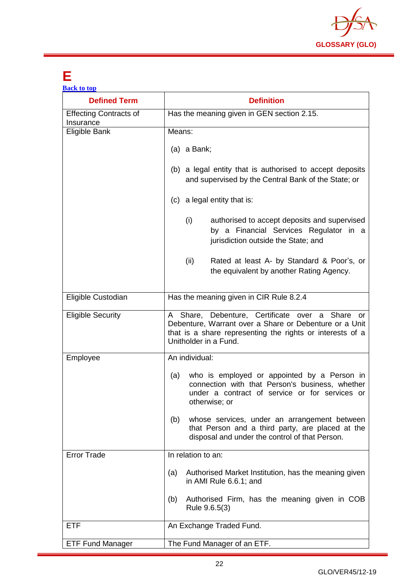

## <span id="page-22-0"></span>**E**

| <b>Back to top</b>                         |                                                                                                                                                                                                    |
|--------------------------------------------|----------------------------------------------------------------------------------------------------------------------------------------------------------------------------------------------------|
| <b>Defined Term</b>                        | <b>Definition</b>                                                                                                                                                                                  |
| <b>Effecting Contracts of</b><br>Insurance | Has the meaning given in GEN section 2.15.                                                                                                                                                         |
| Eligible Bank                              | Means:                                                                                                                                                                                             |
|                                            | $(a)$ a Bank;                                                                                                                                                                                      |
|                                            | (b) a legal entity that is authorised to accept deposits<br>and supervised by the Central Bank of the State; or                                                                                    |
|                                            | (c) a legal entity that is:                                                                                                                                                                        |
|                                            | (i)<br>authorised to accept deposits and supervised<br>by a Financial Services Regulator in a<br>jurisdiction outside the State; and                                                               |
|                                            | Rated at least A- by Standard & Poor's, or<br>(ii)<br>the equivalent by another Rating Agency.                                                                                                     |
| Eligible Custodian                         | Has the meaning given in CIR Rule 8.2.4                                                                                                                                                            |
| <b>Eligible Security</b>                   | A Share, Debenture, Certificate over a Share<br>or<br>Debenture, Warrant over a Share or Debenture or a Unit<br>that is a share representing the rights or interests of a<br>Unitholder in a Fund. |
| Employee                                   | An individual:                                                                                                                                                                                     |
|                                            | who is employed or appointed by a Person in<br>(a)<br>connection with that Person's business, whether<br>under a contract of service or for services or<br>otherwise; or                           |
|                                            | whose services, under an arrangement between<br>(b)<br>that Person and a third party, are placed at the<br>disposal and under the control of that Person.                                          |
| <b>Error Trade</b>                         | In relation to an:                                                                                                                                                                                 |
|                                            | Authorised Market Institution, has the meaning given<br>(a)<br>in AMI Rule 6.6.1; and                                                                                                              |
|                                            | Authorised Firm, has the meaning given in COB<br>(b)<br>Rule 9.6.5(3)                                                                                                                              |
| <b>ETF</b>                                 | An Exchange Traded Fund.                                                                                                                                                                           |
| <b>ETF Fund Manager</b>                    | The Fund Manager of an ETF.                                                                                                                                                                        |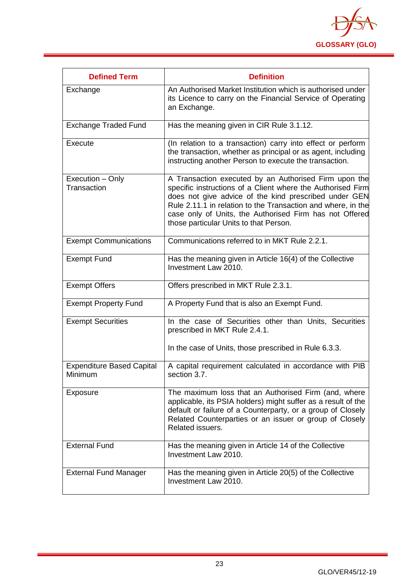

<span id="page-23-0"></span>

| <b>Defined Term</b>                         | <b>Definition</b>                                                                                                                                                                                                                                                                                                                                  |
|---------------------------------------------|----------------------------------------------------------------------------------------------------------------------------------------------------------------------------------------------------------------------------------------------------------------------------------------------------------------------------------------------------|
| Exchange                                    | An Authorised Market Institution which is authorised under<br>its Licence to carry on the Financial Service of Operating<br>an Exchange.                                                                                                                                                                                                           |
| <b>Exchange Traded Fund</b>                 | Has the meaning given in CIR Rule 3.1.12.                                                                                                                                                                                                                                                                                                          |
| Execute                                     | (In relation to a transaction) carry into effect or perform<br>the transaction, whether as principal or as agent, including<br>instructing another Person to execute the transaction.                                                                                                                                                              |
| Execution - Only<br>Transaction             | A Transaction executed by an Authorised Firm upon the<br>specific instructions of a Client where the Authorised Firm<br>does not give advice of the kind prescribed under GEN<br>Rule 2.11.1 in relation to the Transaction and where, in the<br>case only of Units, the Authorised Firm has not Offered<br>those particular Units to that Person. |
| <b>Exempt Communications</b>                | Communications referred to in MKT Rule 2.2.1.                                                                                                                                                                                                                                                                                                      |
| <b>Exempt Fund</b>                          | Has the meaning given in Article 16(4) of the Collective<br>Investment Law 2010.                                                                                                                                                                                                                                                                   |
| <b>Exempt Offers</b>                        | Offers prescribed in MKT Rule 2.3.1.                                                                                                                                                                                                                                                                                                               |
| <b>Exempt Property Fund</b>                 | A Property Fund that is also an Exempt Fund.                                                                                                                                                                                                                                                                                                       |
| <b>Exempt Securities</b>                    | In the case of Securities other than Units, Securities<br>prescribed in MKT Rule 2.4.1.                                                                                                                                                                                                                                                            |
|                                             | In the case of Units, those prescribed in Rule 6.3.3.                                                                                                                                                                                                                                                                                              |
| <b>Expenditure Based Capital</b><br>Minimum | A capital requirement calculated in accordance with PIB<br>section 3.7.                                                                                                                                                                                                                                                                            |
| Exposure                                    | The maximum loss that an Authorised Firm (and, where<br>applicable, its PSIA holders) might suffer as a result of the<br>default or failure of a Counterparty, or a group of Closely<br>Related Counterparties or an issuer or group of Closely<br>Related issuers.                                                                                |
| <b>External Fund</b>                        | Has the meaning given in Article 14 of the Collective<br>Investment Law 2010.                                                                                                                                                                                                                                                                      |
| <b>External Fund Manager</b>                | Has the meaning given in Article 20(5) of the Collective<br>Investment Law 2010.                                                                                                                                                                                                                                                                   |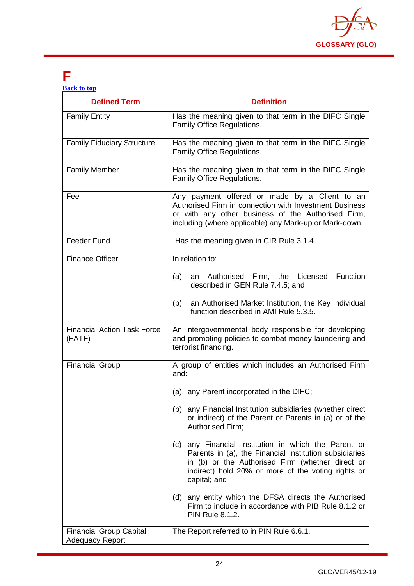

## **F**

| <b>Back to top</b> |  |  |
|--------------------|--|--|
|                    |  |  |
|                    |  |  |

| <b>Defined Term</b>                                      | <b>Definition</b>                                                                                                                                                                                                                           |  |  |
|----------------------------------------------------------|---------------------------------------------------------------------------------------------------------------------------------------------------------------------------------------------------------------------------------------------|--|--|
| <b>Family Entity</b>                                     | Has the meaning given to that term in the DIFC Single<br>Family Office Regulations.                                                                                                                                                         |  |  |
| <b>Family Fiduciary Structure</b>                        | Has the meaning given to that term in the DIFC Single<br>Family Office Regulations.                                                                                                                                                         |  |  |
| <b>Family Member</b>                                     | Has the meaning given to that term in the DIFC Single<br>Family Office Regulations.                                                                                                                                                         |  |  |
| Fee                                                      | Any payment offered or made by a Client to an<br>Authorised Firm in connection with Investment Business<br>or with any other business of the Authorised Firm,<br>including (where applicable) any Mark-up or Mark-down.                     |  |  |
| <b>Feeder Fund</b>                                       | Has the meaning given in CIR Rule 3.1.4                                                                                                                                                                                                     |  |  |
| <b>Finance Officer</b>                                   | In relation to:<br>(a) an Authorised Firm, the Licensed<br>Function<br>described in GEN Rule 7.4.5; and                                                                                                                                     |  |  |
|                                                          | an Authorised Market Institution, the Key Individual<br>(b)<br>function described in AMI Rule 5.3.5.                                                                                                                                        |  |  |
| <b>Financial Action Task Force</b><br>(FATF)             | An intergovernmental body responsible for developing<br>and promoting policies to combat money laundering and<br>terrorist financing.                                                                                                       |  |  |
| <b>Financial Group</b>                                   | A group of entities which includes an Authorised Firm<br>and:                                                                                                                                                                               |  |  |
|                                                          | (a) any Parent incorporated in the DIFC;                                                                                                                                                                                                    |  |  |
|                                                          | (b) any Financial Institution subsidiaries (whether direct<br>or indirect) of the Parent or Parents in (a) or of the<br>Authorised Firm;                                                                                                    |  |  |
|                                                          | any Financial Institution in which the Parent or<br>(c)<br>Parents in (a), the Financial Institution subsidiaries<br>in (b) or the Authorised Firm (whether direct or<br>indirect) hold 20% or more of the voting rights or<br>capital; and |  |  |
|                                                          | (d) any entity which the DFSA directs the Authorised<br>Firm to include in accordance with PIB Rule 8.1.2 or<br><b>PIN Rule 8.1.2.</b>                                                                                                      |  |  |
| <b>Financial Group Capital</b><br><b>Adequacy Report</b> | The Report referred to in PIN Rule 6.6.1.                                                                                                                                                                                                   |  |  |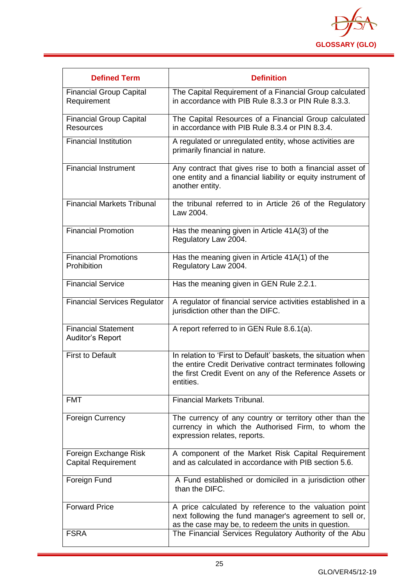

| <b>Defined Term</b>                                   | <b>Definition</b>                                                                                                                                                                                    |
|-------------------------------------------------------|------------------------------------------------------------------------------------------------------------------------------------------------------------------------------------------------------|
| <b>Financial Group Capital</b><br>Requirement         | The Capital Requirement of a Financial Group calculated<br>in accordance with PIB Rule 8.3.3 or PIN Rule 8.3.3.                                                                                      |
| <b>Financial Group Capital</b><br>Resources           | The Capital Resources of a Financial Group calculated<br>in accordance with PIB Rule 8.3.4 or PIN 8.3.4.                                                                                             |
| <b>Financial Institution</b>                          | A regulated or unregulated entity, whose activities are<br>primarily financial in nature.                                                                                                            |
| <b>Financial Instrument</b>                           | Any contract that gives rise to both a financial asset of<br>one entity and a financial liability or equity instrument of<br>another entity.                                                         |
| <b>Financial Markets Tribunal</b>                     | the tribunal referred to in Article 26 of the Regulatory<br>Law 2004.                                                                                                                                |
| <b>Financial Promotion</b>                            | Has the meaning given in Article 41A(3) of the<br>Regulatory Law 2004.                                                                                                                               |
| <b>Financial Promotions</b><br>Prohibition            | Has the meaning given in Article 41A(1) of the<br>Regulatory Law 2004.                                                                                                                               |
| <b>Financial Service</b>                              | Has the meaning given in GEN Rule 2.2.1.                                                                                                                                                             |
| <b>Financial Services Regulator</b>                   | A regulator of financial service activities established in a<br>jurisdiction other than the DIFC.                                                                                                    |
| <b>Financial Statement</b><br><b>Auditor's Report</b> | A report referred to in GEN Rule 8.6.1(a).                                                                                                                                                           |
| <b>First to Default</b>                               | In relation to 'First to Default' baskets, the situation when<br>the entire Credit Derivative contract terminates following<br>the first Credit Event on any of the Reference Assets or<br>entities. |
| <b>FMT</b>                                            | <b>Financial Markets Tribunal.</b>                                                                                                                                                                   |
| <b>Foreign Currency</b>                               | The currency of any country or territory other than the<br>currency in which the Authorised Firm, to whom the<br>expression relates, reports.                                                        |
| Foreign Exchange Risk<br><b>Capital Requirement</b>   | A component of the Market Risk Capital Requirement<br>and as calculated in accordance with PIB section 5.6.                                                                                          |
| Foreign Fund                                          | A Fund established or domiciled in a jurisdiction other<br>than the DIFC.                                                                                                                            |
| <b>Forward Price</b>                                  | A price calculated by reference to the valuation point<br>next following the fund manager's agreement to sell or,<br>as the case may be, to redeem the units in question.                            |
| <b>FSRA</b>                                           | The Financial Services Regulatory Authority of the Abu                                                                                                                                               |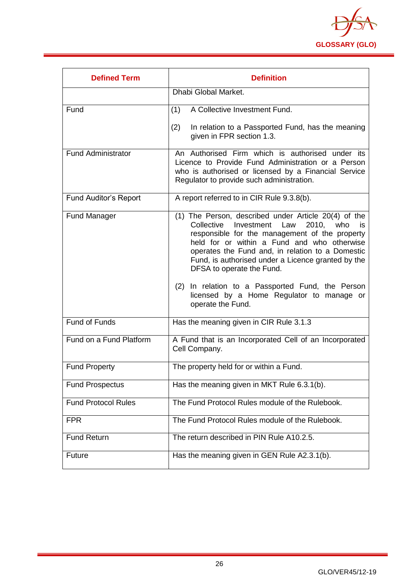

<span id="page-26-0"></span>

| <b>Defined Term</b>          | <b>Definition</b>                                                                                                                                                                                                                                                                                                                                                                                                                                                     |  |
|------------------------------|-----------------------------------------------------------------------------------------------------------------------------------------------------------------------------------------------------------------------------------------------------------------------------------------------------------------------------------------------------------------------------------------------------------------------------------------------------------------------|--|
|                              | Dhabi Global Market.                                                                                                                                                                                                                                                                                                                                                                                                                                                  |  |
| Fund                         | A Collective Investment Fund.<br>(1)                                                                                                                                                                                                                                                                                                                                                                                                                                  |  |
|                              | (2)<br>In relation to a Passported Fund, has the meaning<br>given in FPR section 1.3.                                                                                                                                                                                                                                                                                                                                                                                 |  |
| <b>Fund Administrator</b>    | An Authorised Firm which is authorised under its<br>Licence to Provide Fund Administration or a Person<br>who is authorised or licensed by a Financial Service<br>Regulator to provide such administration.                                                                                                                                                                                                                                                           |  |
| <b>Fund Auditor's Report</b> | A report referred to in CIR Rule 9.3.8(b).                                                                                                                                                                                                                                                                                                                                                                                                                            |  |
| <b>Fund Manager</b>          | (1) The Person, described under Article 20(4) of the<br>Investment Law<br>2010. who<br>Collective<br>is<br>responsible for the management of the property<br>held for or within a Fund and who otherwise<br>operates the Fund and, in relation to a Domestic<br>Fund, is authorised under a Licence granted by the<br>DFSA to operate the Fund.<br>(2) In relation to a Passported Fund, the Person<br>licensed by a Home Regulator to manage or<br>operate the Fund. |  |
| <b>Fund of Funds</b>         | Has the meaning given in CIR Rule 3.1.3                                                                                                                                                                                                                                                                                                                                                                                                                               |  |
| Fund on a Fund Platform      | A Fund that is an Incorporated Cell of an Incorporated<br>Cell Company.                                                                                                                                                                                                                                                                                                                                                                                               |  |
| <b>Fund Property</b>         | The property held for or within a Fund.                                                                                                                                                                                                                                                                                                                                                                                                                               |  |
| <b>Fund Prospectus</b>       | Has the meaning given in MKT Rule 6.3.1(b).                                                                                                                                                                                                                                                                                                                                                                                                                           |  |
| <b>Fund Protocol Rules</b>   | The Fund Protocol Rules module of the Rulebook.                                                                                                                                                                                                                                                                                                                                                                                                                       |  |
| <b>FPR</b>                   | The Fund Protocol Rules module of the Rulebook.                                                                                                                                                                                                                                                                                                                                                                                                                       |  |
| <b>Fund Return</b>           | The return described in PIN Rule A10.2.5.                                                                                                                                                                                                                                                                                                                                                                                                                             |  |
| <b>Future</b>                | Has the meaning given in GEN Rule A2.3.1(b).                                                                                                                                                                                                                                                                                                                                                                                                                          |  |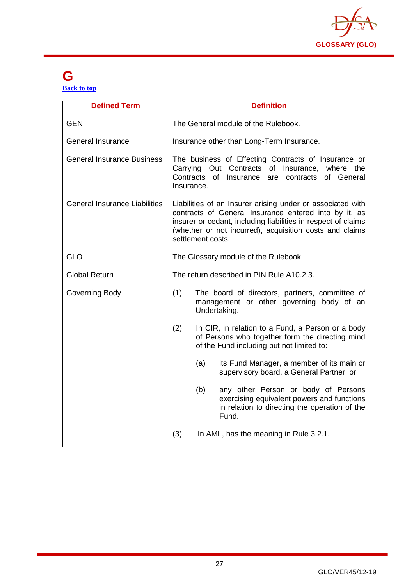

#### **G [Back to top](#page-1-0)**

| <b>Defined Term</b>                  | <b>Definition</b>                                                                                                                                                                                                                                                    |
|--------------------------------------|----------------------------------------------------------------------------------------------------------------------------------------------------------------------------------------------------------------------------------------------------------------------|
| <b>GEN</b>                           | The General module of the Rulebook.                                                                                                                                                                                                                                  |
| <b>General Insurance</b>             | Insurance other than Long-Term Insurance.                                                                                                                                                                                                                            |
| General Insurance Business           | The business of Effecting Contracts of Insurance or<br>Carrying Out Contracts of<br>Insurance, where the<br>Contracts<br>of Insurance<br>of General<br>are<br>contracts<br>Insurance.                                                                                |
| <b>General Insurance Liabilities</b> | Liabilities of an Insurer arising under or associated with<br>contracts of General Insurance entered into by it, as<br>insurer or cedant, including liabilities in respect of claims<br>(whether or not incurred), acquisition costs and claims<br>settlement costs. |
| <b>GLO</b>                           | The Glossary module of the Rulebook.                                                                                                                                                                                                                                 |
| <b>Global Return</b>                 | The return described in PIN Rule A10.2.3.                                                                                                                                                                                                                            |
| Governing Body                       | (1)<br>The board of directors, partners, committee of<br>management or other governing body of an<br>Undertaking.                                                                                                                                                    |
|                                      | (2)<br>In CIR, in relation to a Fund, a Person or a body<br>of Persons who together form the directing mind<br>of the Fund including but not limited to:                                                                                                             |
|                                      | (a)<br>its Fund Manager, a member of its main or<br>supervisory board, a General Partner; or                                                                                                                                                                         |
|                                      | any other Person or body of Persons<br>(b)<br>exercising equivalent powers and functions<br>in relation to directing the operation of the<br>Fund.                                                                                                                   |
|                                      | (3)<br>In AML, has the meaning in Rule 3.2.1.                                                                                                                                                                                                                        |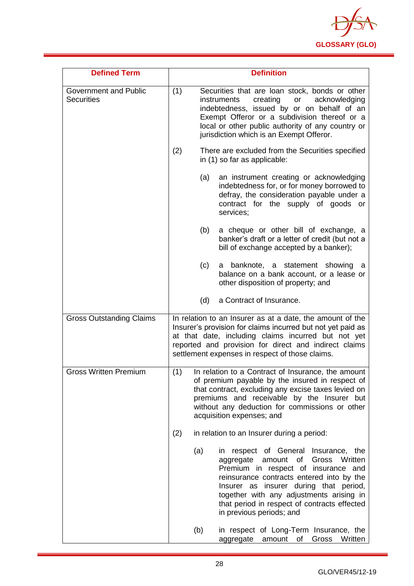

| <b>Defined Term</b>                               |     | <b>Definition</b>                                                                                                                                                                                                                                                                                                                           |
|---------------------------------------------------|-----|---------------------------------------------------------------------------------------------------------------------------------------------------------------------------------------------------------------------------------------------------------------------------------------------------------------------------------------------|
| <b>Government and Public</b><br><b>Securities</b> | (1) | Securities that are loan stock, bonds or other<br>creating<br>acknowledging<br>instruments<br>or<br>indebtedness, issued by or on behalf of an<br>Exempt Offeror or a subdivision thereof or a<br>local or other public authority of any country or<br>jurisdiction which is an Exempt Offeror.                                             |
|                                                   | (2) | There are excluded from the Securities specified<br>in (1) so far as applicable:                                                                                                                                                                                                                                                            |
|                                                   |     | an instrument creating or acknowledging<br>(a)<br>indebtedness for, or for money borrowed to<br>defray, the consideration payable under a<br>contract for the supply of goods or<br>services;                                                                                                                                               |
|                                                   |     | a cheque or other bill of exchange, a<br>(b)<br>banker's draft or a letter of credit (but not a<br>bill of exchange accepted by a banker);                                                                                                                                                                                                  |
|                                                   |     | (c)<br>a banknote, a statement showing<br>a<br>balance on a bank account, or a lease or<br>other disposition of property; and                                                                                                                                                                                                               |
|                                                   |     | a Contract of Insurance.<br>(d)                                                                                                                                                                                                                                                                                                             |
| <b>Gross Outstanding Claims</b>                   |     | In relation to an Insurer as at a date, the amount of the<br>Insurer's provision for claims incurred but not yet paid as<br>at that date, including claims incurred but not yet<br>reported and provision for direct and indirect claims<br>settlement expenses in respect of those claims.                                                 |
| <b>Gross Written Premium</b>                      | (1) | In relation to a Contract of Insurance, the amount<br>of premium payable by the insured in respect of<br>that contract, excluding any excise taxes levied on<br>premiums and receivable by the Insurer but<br>without any deduction for commissions or other<br>acquisition expenses; and                                                   |
|                                                   | (2) | in relation to an Insurer during a period:                                                                                                                                                                                                                                                                                                  |
|                                                   | (a) | in respect of General Insurance,<br>the<br>Gross Written<br>aggregate<br>amount<br>of<br>Premium in respect of insurance and<br>reinsurance contracts entered into by the<br>Insurer as insurer during that period,<br>together with any adjustments arising in<br>that period in respect of contracts effected<br>in previous periods; and |
|                                                   | (b) | in respect of Long-Term Insurance, the<br>Gross<br>Written<br>aggregate<br>amount of                                                                                                                                                                                                                                                        |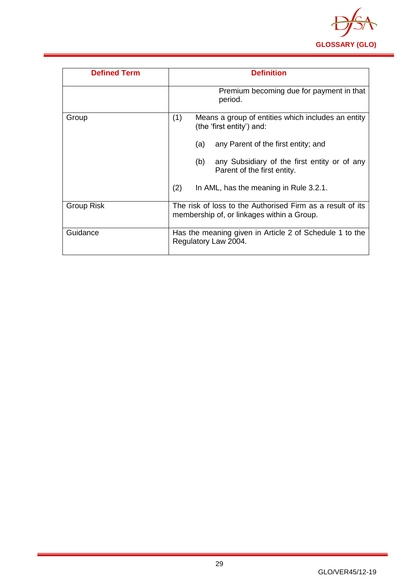

| <b>Defined Term</b> | <b>Definition</b>                                                                                        |
|---------------------|----------------------------------------------------------------------------------------------------------|
|                     | Premium becoming due for payment in that<br>period.                                                      |
| Group               | (1)<br>Means a group of entities which includes an entity<br>(the 'first entity') and:                   |
|                     | any Parent of the first entity; and<br>(a)                                                               |
|                     | any Subsidiary of the first entity or of any<br>(b)<br>Parent of the first entity.                       |
|                     | (2)<br>In AML, has the meaning in Rule 3.2.1.                                                            |
| Group Risk          | The risk of loss to the Authorised Firm as a result of its<br>membership of, or linkages within a Group. |
| Guidance            | Has the meaning given in Article 2 of Schedule 1 to the<br>Regulatory Law 2004.                          |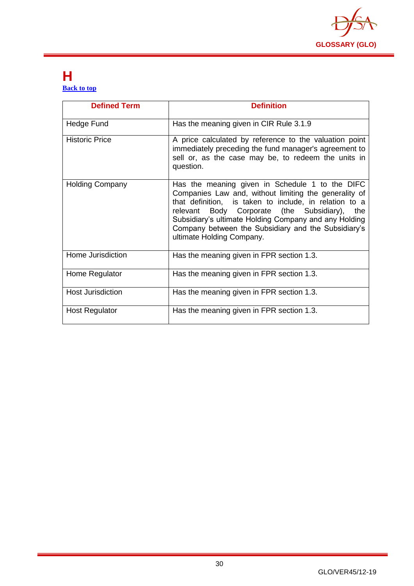

#### <span id="page-30-0"></span>**H [Back to top](#page-1-0)**

| <b>Defined Term</b>      | <b>Definition</b>                                                                                                                                                                                                                                                                                                                                                      |
|--------------------------|------------------------------------------------------------------------------------------------------------------------------------------------------------------------------------------------------------------------------------------------------------------------------------------------------------------------------------------------------------------------|
| Hedge Fund               | Has the meaning given in CIR Rule 3.1.9                                                                                                                                                                                                                                                                                                                                |
| <b>Historic Price</b>    | A price calculated by reference to the valuation point<br>immediately preceding the fund manager's agreement to<br>sell or, as the case may be, to redeem the units in<br>question.                                                                                                                                                                                    |
| <b>Holding Company</b>   | Has the meaning given in Schedule 1 to the DIFC<br>Companies Law and, without limiting the generality of<br>that definition, is taken to include, in relation to a<br>Body Corporate (the Subsidiary),<br>relevant<br>the<br>Subsidiary's ultimate Holding Company and any Holding<br>Company between the Subsidiary and the Subsidiary's<br>ultimate Holding Company. |
| Home Jurisdiction        | Has the meaning given in FPR section 1.3.                                                                                                                                                                                                                                                                                                                              |
| Home Regulator           | Has the meaning given in FPR section 1.3.                                                                                                                                                                                                                                                                                                                              |
| <b>Host Jurisdiction</b> | Has the meaning given in FPR section 1.3.                                                                                                                                                                                                                                                                                                                              |
| <b>Host Regulator</b>    | Has the meaning given in FPR section 1.3.                                                                                                                                                                                                                                                                                                                              |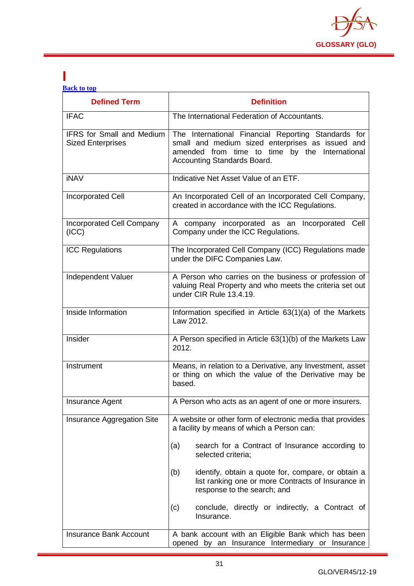

#### <span id="page-31-0"></span>**I [Back to top](#page-1-0)**

| <b>Defined Term</b>                                          | <b>Definition</b>                                                                                                                                                                        |  |
|--------------------------------------------------------------|------------------------------------------------------------------------------------------------------------------------------------------------------------------------------------------|--|
| <b>IFAC</b>                                                  | The International Federation of Accountants.                                                                                                                                             |  |
| <b>IFRS</b> for Small and Medium<br><b>Sized Enterprises</b> | The International Financial Reporting Standards for<br>small and medium sized enterprises as issued and<br>amended from time to time by the International<br>Accounting Standards Board. |  |
| <b>iNAV</b>                                                  | Indicative Net Asset Value of an ETF.                                                                                                                                                    |  |
| <b>Incorporated Cell</b>                                     | An Incorporated Cell of an Incorporated Cell Company,<br>created in accordance with the ICC Regulations.                                                                                 |  |
| Incorporated Cell Company<br>(ICC)                           | A company incorporated as an Incorporated Cell<br>Company under the ICC Regulations.                                                                                                     |  |
| <b>ICC Regulations</b>                                       | The Incorporated Cell Company (ICC) Regulations made<br>under the DIFC Companies Law.                                                                                                    |  |
| Independent Valuer                                           | A Person who carries on the business or profession of<br>valuing Real Property and who meets the criteria set out<br>under CIR Rule 13.4.19.                                             |  |
| Inside Information                                           | Information specified in Article 63(1)(a) of the Markets<br>Law 2012.                                                                                                                    |  |
| Insider                                                      | A Person specified in Article 63(1)(b) of the Markets Law<br>2012.                                                                                                                       |  |
| Instrument                                                   | Means, in relation to a Derivative, any Investment, asset<br>or thing on which the value of the Derivative may be<br>based.                                                              |  |
| <b>Insurance Agent</b>                                       | A Person who acts as an agent of one or more insurers.                                                                                                                                   |  |
| Insurance Aggregation Site                                   | A website or other form of electronic media that provides<br>a facility by means of which a Person can:                                                                                  |  |
|                                                              | search for a Contract of Insurance according to<br>(a)<br>selected criteria;                                                                                                             |  |
|                                                              | identify, obtain a quote for, compare, or obtain a<br>(b)<br>list ranking one or more Contracts of Insurance in<br>response to the search; and                                           |  |
|                                                              | conclude, directly or indirectly, a Contract of<br>(c)<br>Insurance.                                                                                                                     |  |
| <b>Insurance Bank Account</b>                                | A bank account with an Eligible Bank which has been<br>opened by an Insurance Intermediary or Insurance                                                                                  |  |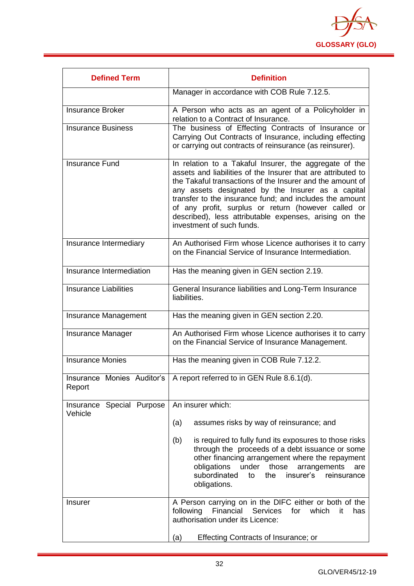

| <b>Defined Term</b>                  | <b>Definition</b>                                                                                                                                                                                                                                                                                                                                                                                                                                 |  |
|--------------------------------------|---------------------------------------------------------------------------------------------------------------------------------------------------------------------------------------------------------------------------------------------------------------------------------------------------------------------------------------------------------------------------------------------------------------------------------------------------|--|
|                                      | Manager in accordance with COB Rule 7.12.5.                                                                                                                                                                                                                                                                                                                                                                                                       |  |
| <b>Insurance Broker</b>              | A Person who acts as an agent of a Policyholder in<br>relation to a Contract of Insurance.                                                                                                                                                                                                                                                                                                                                                        |  |
| <b>Insurance Business</b>            | The business of Effecting Contracts of Insurance or<br>Carrying Out Contracts of Insurance, including effecting<br>or carrying out contracts of reinsurance (as reinsurer).                                                                                                                                                                                                                                                                       |  |
| <b>Insurance Fund</b>                | In relation to a Takaful Insurer, the aggregate of the<br>assets and liabilities of the Insurer that are attributed to<br>the Takaful transactions of the Insurer and the amount of<br>any assets designated by the Insurer as a capital<br>transfer to the insurance fund; and includes the amount<br>of any profit, surplus or return (however called or<br>described), less attributable expenses, arising on the<br>investment of such funds. |  |
| Insurance Intermediary               | An Authorised Firm whose Licence authorises it to carry<br>on the Financial Service of Insurance Intermediation.                                                                                                                                                                                                                                                                                                                                  |  |
| Insurance Intermediation             | Has the meaning given in GEN section 2.19.                                                                                                                                                                                                                                                                                                                                                                                                        |  |
| Insurance Liabilities                | General Insurance liabilities and Long-Term Insurance<br>liabilities.                                                                                                                                                                                                                                                                                                                                                                             |  |
| Insurance Management                 | Has the meaning given in GEN section 2.20.                                                                                                                                                                                                                                                                                                                                                                                                        |  |
| <b>Insurance Manager</b>             | An Authorised Firm whose Licence authorises it to carry<br>on the Financial Service of Insurance Management.                                                                                                                                                                                                                                                                                                                                      |  |
| <b>Insurance Monies</b>              | Has the meaning given in COB Rule 7.12.2.                                                                                                                                                                                                                                                                                                                                                                                                         |  |
| Report                               | Insurance Monies Auditor's   A report referred to in GEN Rule 8.6.1(d).                                                                                                                                                                                                                                                                                                                                                                           |  |
| Insurance Special Purpose<br>Vehicle | An insurer which:                                                                                                                                                                                                                                                                                                                                                                                                                                 |  |
|                                      | assumes risks by way of reinsurance; and<br>(a)                                                                                                                                                                                                                                                                                                                                                                                                   |  |
|                                      | (b)<br>is required to fully fund its exposures to those risks<br>through the proceeds of a debt issuance or some<br>other financing arrangement where the repayment<br>obligations<br>under<br>those<br>arrangements<br>are<br>subordinated<br>the<br>insurer's<br>reinsurance<br>to<br>obligations.                                                                                                                                              |  |
| <b>Insurer</b>                       | A Person carrying on in the DIFC either or both of the<br>Financial Services<br>following<br>for<br>which<br>it<br>has<br>authorisation under its Licence:                                                                                                                                                                                                                                                                                        |  |
|                                      | <b>Effecting Contracts of Insurance; or</b><br>(a)                                                                                                                                                                                                                                                                                                                                                                                                |  |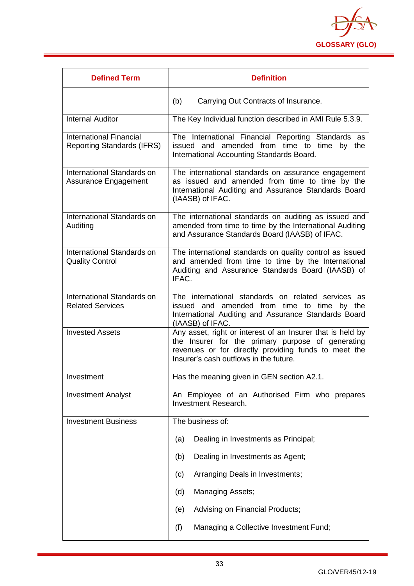

| <b>Defined Term</b>                                                 | <b>Definition</b>                                                                                                                                                                                                 |  |
|---------------------------------------------------------------------|-------------------------------------------------------------------------------------------------------------------------------------------------------------------------------------------------------------------|--|
|                                                                     | (b)<br>Carrying Out Contracts of Insurance.                                                                                                                                                                       |  |
| <b>Internal Auditor</b>                                             | The Key Individual function described in AMI Rule 5.3.9.                                                                                                                                                          |  |
| <b>International Financial</b><br><b>Reporting Standards (IFRS)</b> | The International Financial Reporting Standards as<br>issued and amended from time to time by the<br>International Accounting Standards Board.                                                                    |  |
| International Standards on<br>Assurance Engagement                  | The international standards on assurance engagement<br>as issued and amended from time to time by the<br>International Auditing and Assurance Standards Board<br>(IAASB) of IFAC.                                 |  |
| International Standards on<br>Auditing                              | The international standards on auditing as issued and<br>amended from time to time by the International Auditing<br>and Assurance Standards Board (IAASB) of IFAC.                                                |  |
| International Standards on<br><b>Quality Control</b>                | The international standards on quality control as issued<br>and amended from time to time by the International<br>Auditing and Assurance Standards Board (IAASB) of<br>IFAC.                                      |  |
| International Standards on<br><b>Related Services</b>               | The international standards on related services as<br>issued and amended from time to time by the<br>International Auditing and Assurance Standards Board<br>(IAASB) of IFAC.                                     |  |
| <b>Invested Assets</b>                                              | Any asset, right or interest of an Insurer that is held by<br>the Insurer for the primary purpose of generating<br>revenues or for directly providing funds to meet the<br>Insurer's cash outflows in the future. |  |
| Investment                                                          | Has the meaning given in GEN section A2.1.                                                                                                                                                                        |  |
| <b>Investment Analyst</b>                                           | An Employee of an Authorised Firm who prepares<br><b>Investment Research.</b>                                                                                                                                     |  |
| <b>Investment Business</b>                                          | The business of:                                                                                                                                                                                                  |  |
|                                                                     | Dealing in Investments as Principal;<br>(a)                                                                                                                                                                       |  |
|                                                                     | Dealing in Investments as Agent;<br>(b)                                                                                                                                                                           |  |
|                                                                     | Arranging Deals in Investments;<br>(c)                                                                                                                                                                            |  |
|                                                                     | <b>Managing Assets;</b><br>(d)                                                                                                                                                                                    |  |
|                                                                     | Advising on Financial Products;<br>(e)                                                                                                                                                                            |  |
|                                                                     | (f)<br>Managing a Collective Investment Fund;                                                                                                                                                                     |  |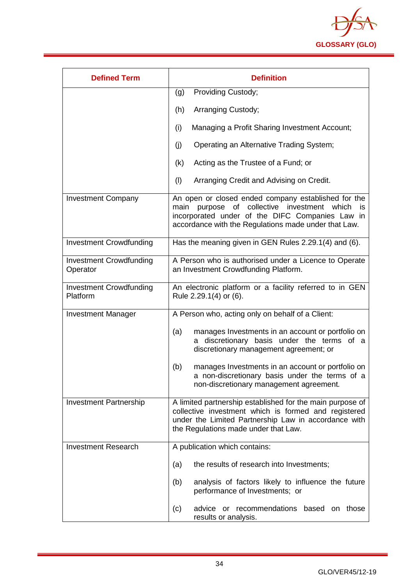

| <b>Defined Term</b>                        | <b>Definition</b>                                                                                                                                                                                                       |  |  |
|--------------------------------------------|-------------------------------------------------------------------------------------------------------------------------------------------------------------------------------------------------------------------------|--|--|
|                                            | Providing Custody;<br>(g)                                                                                                                                                                                               |  |  |
|                                            | (h)<br>Arranging Custody;                                                                                                                                                                                               |  |  |
|                                            | (i)<br>Managing a Profit Sharing Investment Account;                                                                                                                                                                    |  |  |
|                                            | (j)<br>Operating an Alternative Trading System;                                                                                                                                                                         |  |  |
|                                            | Acting as the Trustee of a Fund; or<br>(k)                                                                                                                                                                              |  |  |
|                                            | (1)<br>Arranging Credit and Advising on Credit.                                                                                                                                                                         |  |  |
| <b>Investment Company</b>                  | An open or closed ended company established for the<br>purpose of collective investment which<br>main<br>is.<br>incorporated under of the DIFC Companies Law in<br>accordance with the Regulations made under that Law. |  |  |
| <b>Investment Crowdfunding</b>             | Has the meaning given in GEN Rules 2.29.1(4) and (6).                                                                                                                                                                   |  |  |
| <b>Investment Crowdfunding</b><br>Operator | A Person who is authorised under a Licence to Operate<br>an Investment Crowdfunding Platform.                                                                                                                           |  |  |
| <b>Investment Crowdfunding</b><br>Platform | An electronic platform or a facility referred to in GEN<br>Rule 2.29.1(4) or (6).                                                                                                                                       |  |  |
| <b>Investment Manager</b>                  | A Person who, acting only on behalf of a Client:                                                                                                                                                                        |  |  |
|                                            | manages Investments in an account or portfolio on<br>(a)<br>discretionary basis under the terms of a<br>a<br>discretionary management agreement; or                                                                     |  |  |
|                                            | (b)<br>manages Investments in an account or portfolio on<br>a non-discretionary basis under the terms of a<br>non-discretionary management agreement.                                                                   |  |  |
| <b>Investment Partnership</b>              | A limited partnership established for the main purpose of<br>collective investment which is formed and registered<br>under the Limited Partnership Law in accordance with<br>the Regulations made under that Law.       |  |  |
| <b>Investment Research</b>                 | A publication which contains:                                                                                                                                                                                           |  |  |
|                                            | the results of research into Investments;<br>(a)                                                                                                                                                                        |  |  |
|                                            | analysis of factors likely to influence the future<br>(b)<br>performance of Investments; or                                                                                                                             |  |  |
|                                            | advice or recommendations based on those<br>(c)<br>results or analysis.                                                                                                                                                 |  |  |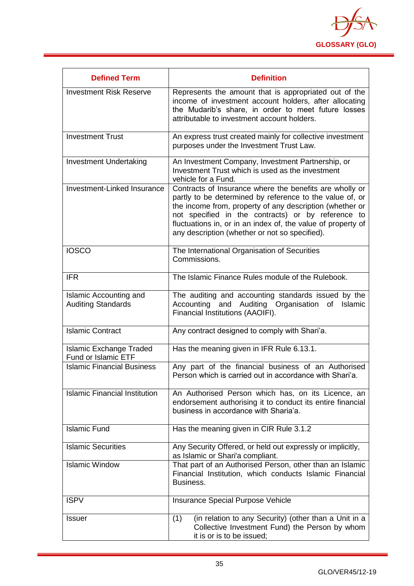

| <b>Defined Term</b>                                        | <b>Definition</b>                                                                                                                                                                                                                                                                                                                                       |
|------------------------------------------------------------|---------------------------------------------------------------------------------------------------------------------------------------------------------------------------------------------------------------------------------------------------------------------------------------------------------------------------------------------------------|
| <b>Investment Risk Reserve</b>                             | Represents the amount that is appropriated out of the<br>income of investment account holders, after allocating<br>the Mudarib's share, in order to meet future losses<br>attributable to investment account holders.                                                                                                                                   |
| <b>Investment Trust</b>                                    | An express trust created mainly for collective investment<br>purposes under the Investment Trust Law.                                                                                                                                                                                                                                                   |
| <b>Investment Undertaking</b>                              | An Investment Company, Investment Partnership, or<br>Investment Trust which is used as the investment<br>vehicle for a Fund.                                                                                                                                                                                                                            |
| Investment-Linked Insurance                                | Contracts of Insurance where the benefits are wholly or<br>partly to be determined by reference to the value of, or<br>the income from, property of any description (whether or<br>not specified in the contracts) or by reference to<br>fluctuations in, or in an index of, the value of property of<br>any description (whether or not so specified). |
| <b>IOSCO</b>                                               | The International Organisation of Securities<br>Commissions.                                                                                                                                                                                                                                                                                            |
| <b>IFR</b>                                                 | The Islamic Finance Rules module of the Rulebook.                                                                                                                                                                                                                                                                                                       |
| <b>Islamic Accounting and</b><br><b>Auditing Standards</b> | The auditing and accounting standards issued by the<br>Accounting and Auditing<br>Organisation<br>Islamic<br>of<br>Financial Institutions (AAOIFI).                                                                                                                                                                                                     |
| <b>Islamic Contract</b>                                    | Any contract designed to comply with Shari'a.                                                                                                                                                                                                                                                                                                           |
| <b>Islamic Exchange Traded</b><br>Fund or Islamic ETF      | Has the meaning given in IFR Rule 6.13.1.                                                                                                                                                                                                                                                                                                               |
| <b>Islamic Financial Business</b>                          | Any part of the financial business of an Authorised<br>Person which is carried out in accordance with Shari'a.                                                                                                                                                                                                                                          |
| <b>Islamic Financial Institution</b>                       | An Authorised Person which has, on its Licence, an<br>endorsement authorising it to conduct its entire financial<br>business in accordance with Sharia'a.                                                                                                                                                                                               |
| <b>Islamic Fund</b>                                        | Has the meaning given in CIR Rule 3.1.2                                                                                                                                                                                                                                                                                                                 |
| <b>Islamic Securities</b>                                  | Any Security Offered, or held out expressly or implicitly,<br>as Islamic or Shari'a compliant.                                                                                                                                                                                                                                                          |
| <b>Islamic Window</b>                                      | That part of an Authorised Person, other than an Islamic<br>Financial Institution, which conducts Islamic Financial<br>Business.                                                                                                                                                                                                                        |
| <b>ISPV</b>                                                | Insurance Special Purpose Vehicle                                                                                                                                                                                                                                                                                                                       |
| <b>Issuer</b>                                              | (in relation to any Security) (other than a Unit in a<br>(1)<br>Collective Investment Fund) the Person by whom<br>it is or is to be issued;                                                                                                                                                                                                             |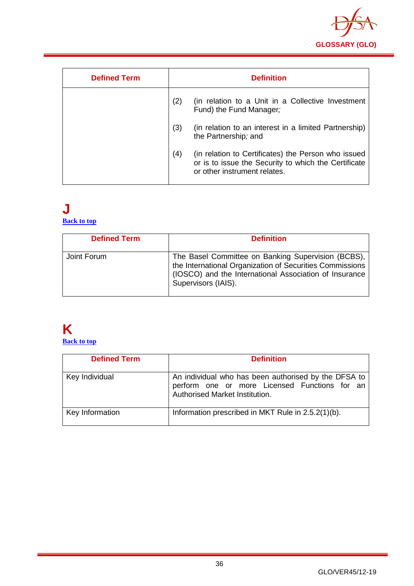

| <b>Defined Term</b> |     | <b>Definition</b>                                                                                                                           |
|---------------------|-----|---------------------------------------------------------------------------------------------------------------------------------------------|
|                     | (2) | (in relation to a Unit in a Collective Investment<br>Fund) the Fund Manager;                                                                |
|                     | (3) | (in relation to an interest in a limited Partnership)<br>the Partnership; and                                                               |
|                     | (4) | (in relation to Certificates) the Person who issued<br>or is to issue the Security to which the Certificate<br>or other instrument relates. |

#### <span id="page-36-0"></span>**J [Back to top](#page-1-0)**

| <b>Defined Term</b> | <b>Definition</b>                                                                                                                                                                               |
|---------------------|-------------------------------------------------------------------------------------------------------------------------------------------------------------------------------------------------|
| Joint Forum         | The Basel Committee on Banking Supervision (BCBS),<br>the International Organization of Securities Commissions<br>(IOSCO) and the International Association of Insurance<br>Supervisors (IAIS). |

## <span id="page-36-1"></span>**K**

**[Back to top](#page-1-0)**

| <b>Defined Term</b> | <b>Definition</b>                                                                                                                       |
|---------------------|-----------------------------------------------------------------------------------------------------------------------------------------|
| Key Individual      | An individual who has been authorised by the DFSA to<br>perform one or more Licensed Functions for an<br>Authorised Market Institution. |
| Key Information     | Information prescribed in MKT Rule in 2.5.2(1)(b).                                                                                      |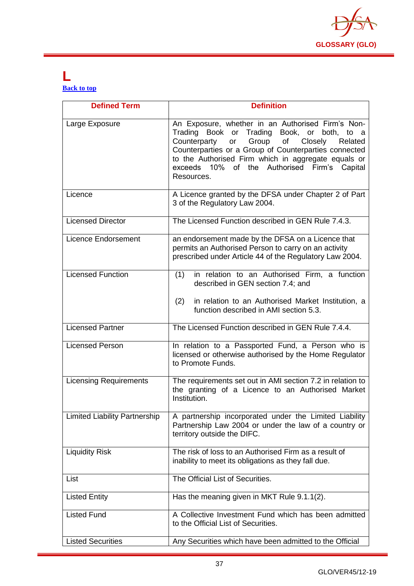

#### <span id="page-37-0"></span>**L [Back to top](#page-1-0)**

| <b>Defined Term</b>                  | <b>Definition</b>                                                                                                                                                                                                                                                                                                                      |
|--------------------------------------|----------------------------------------------------------------------------------------------------------------------------------------------------------------------------------------------------------------------------------------------------------------------------------------------------------------------------------------|
| Large Exposure                       | An Exposure, whether in an Authorised Firm's Non-<br>Trading Book or Trading Book, or both, to a<br>Group of<br>Counterparty<br>Closely<br>Related<br>or<br>Counterparties or a Group of Counterparties connected<br>to the Authorised Firm which in aggregate equals or<br>exceeds 10% of the Authorised Firm's Capital<br>Resources. |
| Licence                              | A Licence granted by the DFSA under Chapter 2 of Part<br>3 of the Regulatory Law 2004.                                                                                                                                                                                                                                                 |
| <b>Licensed Director</b>             | The Licensed Function described in GEN Rule 7.4.3.                                                                                                                                                                                                                                                                                     |
| <b>Licence Endorsement</b>           | an endorsement made by the DFSA on a Licence that<br>permits an Authorised Person to carry on an activity<br>prescribed under Article 44 of the Regulatory Law 2004.                                                                                                                                                                   |
| <b>Licensed Function</b>             | in relation to an Authorised Firm, a function<br>(1)<br>described in GEN section 7.4; and<br>(2)<br>in relation to an Authorised Market Institution, a<br>function described in AMI section 5.3.                                                                                                                                       |
| <b>Licensed Partner</b>              | The Licensed Function described in GEN Rule 7.4.4.                                                                                                                                                                                                                                                                                     |
| <b>Licensed Person</b>               | In relation to a Passported Fund, a Person who is<br>licensed or otherwise authorised by the Home Regulator<br>to Promote Funds.                                                                                                                                                                                                       |
| <b>Licensing Requirements</b>        | The requirements set out in AMI section 7.2 in relation to<br>the granting of a Licence to an Authorised Market<br>Institution.                                                                                                                                                                                                        |
| <b>Limited Liability Partnership</b> | A partnership incorporated under the Limited Liability<br>Partnership Law 2004 or under the law of a country or<br>territory outside the DIFC.                                                                                                                                                                                         |
| <b>Liquidity Risk</b>                | The risk of loss to an Authorised Firm as a result of<br>inability to meet its obligations as they fall due.                                                                                                                                                                                                                           |
| List                                 | The Official List of Securities.                                                                                                                                                                                                                                                                                                       |
| <b>Listed Entity</b>                 | Has the meaning given in MKT Rule 9.1.1(2).                                                                                                                                                                                                                                                                                            |
| <b>Listed Fund</b>                   | A Collective Investment Fund which has been admitted<br>to the Official List of Securities.                                                                                                                                                                                                                                            |
| <b>Listed Securities</b>             | Any Securities which have been admitted to the Official                                                                                                                                                                                                                                                                                |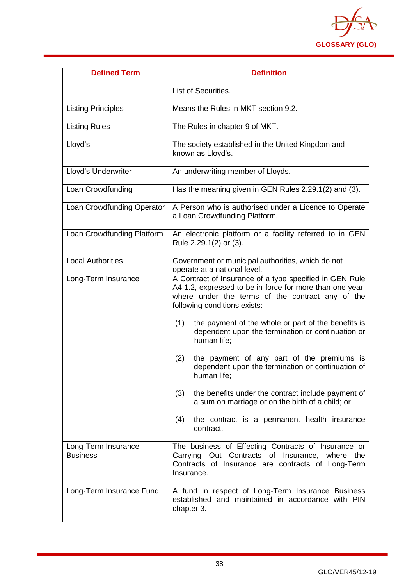

| <b>Defined Term</b>                    | <b>Definition</b>                                                                                                                                                                                       |
|----------------------------------------|---------------------------------------------------------------------------------------------------------------------------------------------------------------------------------------------------------|
|                                        | List of Securities.                                                                                                                                                                                     |
| <b>Listing Principles</b>              | Means the Rules in MKT section 9.2.                                                                                                                                                                     |
| <b>Listing Rules</b>                   | The Rules in chapter 9 of MKT.                                                                                                                                                                          |
| Lloyd's                                | The society established in the United Kingdom and<br>known as Lloyd's.                                                                                                                                  |
| Lloyd's Underwriter                    | An underwriting member of Lloyds.                                                                                                                                                                       |
| Loan Crowdfunding                      | Has the meaning given in GEN Rules 2.29.1(2) and (3).                                                                                                                                                   |
| Loan Crowdfunding Operator             | A Person who is authorised under a Licence to Operate<br>a Loan Crowdfunding Platform.                                                                                                                  |
| Loan Crowdfunding Platform             | An electronic platform or a facility referred to in GEN<br>Rule 2.29.1(2) or (3).                                                                                                                       |
| <b>Local Authorities</b>               | Government or municipal authorities, which do not<br>operate at a national level.                                                                                                                       |
| Long-Term Insurance                    | A Contract of Insurance of a type specified in GEN Rule<br>A4.1.2, expressed to be in force for more than one year,<br>where under the terms of the contract any of the<br>following conditions exists: |
|                                        | the payment of the whole or part of the benefits is<br>(1)<br>dependent upon the termination or continuation or<br>human life;                                                                          |
|                                        | the payment of any part of the premiums is<br>(2)<br>dependent upon the termination or continuation of<br>human life;                                                                                   |
|                                        | (3)<br>the benefits under the contract include payment of<br>a sum on marriage or on the birth of a child; or                                                                                           |
|                                        | the contract is a permanent health insurance<br>(4)<br>contract.                                                                                                                                        |
| Long-Term Insurance<br><b>Business</b> | The business of Effecting Contracts of Insurance or<br>Carrying Out Contracts of Insurance, where<br>the<br>Contracts of Insurance are contracts of Long-Term<br>Insurance.                             |
| Long-Term Insurance Fund               | A fund in respect of Long-Term Insurance Business<br>established and maintained in accordance with PIN<br>chapter 3.                                                                                    |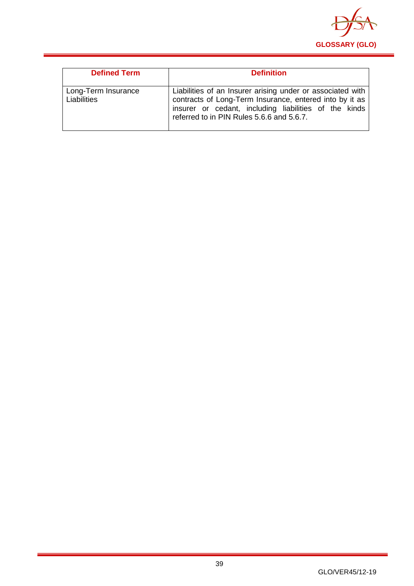

| <b>Defined Term</b>                | <b>Definition</b>                                                                                                                                                                                                           |
|------------------------------------|-----------------------------------------------------------------------------------------------------------------------------------------------------------------------------------------------------------------------------|
| Long-Term Insurance<br>Liabilities | Liabilities of an Insurer arising under or associated with<br>contracts of Long-Term Insurance, entered into by it as<br>insurer or cedant, including liabilities of the kinds<br>referred to in PIN Rules 5.6.6 and 5.6.7. |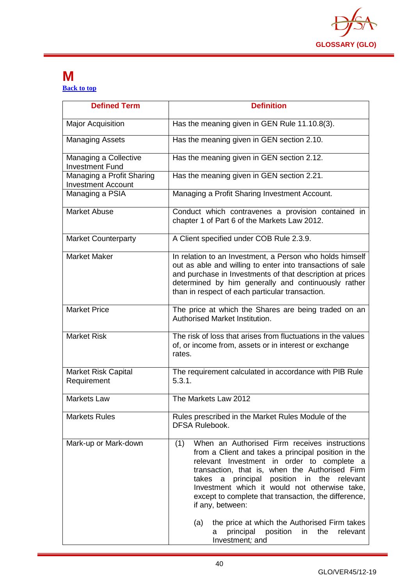

#### <span id="page-40-0"></span>**M [Back to top](#page-1-0)**

| <b>Defined Term</b>                                    | <b>Definition</b>                                                                                                                                                                                                                                                                                                                                                                                                                                                                                                             |
|--------------------------------------------------------|-------------------------------------------------------------------------------------------------------------------------------------------------------------------------------------------------------------------------------------------------------------------------------------------------------------------------------------------------------------------------------------------------------------------------------------------------------------------------------------------------------------------------------|
| <b>Major Acquisition</b>                               | Has the meaning given in GEN Rule 11.10.8(3).                                                                                                                                                                                                                                                                                                                                                                                                                                                                                 |
| <b>Managing Assets</b>                                 | Has the meaning given in GEN section 2.10.                                                                                                                                                                                                                                                                                                                                                                                                                                                                                    |
| Managing a Collective<br><b>Investment Fund</b>        | Has the meaning given in GEN section 2.12.                                                                                                                                                                                                                                                                                                                                                                                                                                                                                    |
| Managing a Profit Sharing<br><b>Investment Account</b> | Has the meaning given in GEN section 2.21.                                                                                                                                                                                                                                                                                                                                                                                                                                                                                    |
| Managing a PSIA                                        | Managing a Profit Sharing Investment Account.                                                                                                                                                                                                                                                                                                                                                                                                                                                                                 |
| <b>Market Abuse</b>                                    | Conduct which contravenes a provision contained in<br>chapter 1 of Part 6 of the Markets Law 2012.                                                                                                                                                                                                                                                                                                                                                                                                                            |
| <b>Market Counterparty</b>                             | A Client specified under COB Rule 2.3.9.                                                                                                                                                                                                                                                                                                                                                                                                                                                                                      |
| <b>Market Maker</b>                                    | In relation to an Investment, a Person who holds himself<br>out as able and willing to enter into transactions of sale<br>and purchase in Investments of that description at prices<br>determined by him generally and continuously rather<br>than in respect of each particular transaction.                                                                                                                                                                                                                                 |
| <b>Market Price</b>                                    | The price at which the Shares are being traded on an<br>Authorised Market Institution.                                                                                                                                                                                                                                                                                                                                                                                                                                        |
| <b>Market Risk</b>                                     | The risk of loss that arises from fluctuations in the values<br>of, or income from, assets or in interest or exchange<br>rates.                                                                                                                                                                                                                                                                                                                                                                                               |
| <b>Market Risk Capital</b><br>Requirement              | The requirement calculated in accordance with PIB Rule<br>5.3.1.                                                                                                                                                                                                                                                                                                                                                                                                                                                              |
| <b>Markets Law</b>                                     | The Markets Law 2012                                                                                                                                                                                                                                                                                                                                                                                                                                                                                                          |
| <b>Markets Rules</b>                                   | Rules prescribed in the Market Rules Module of the<br><b>DFSA Rulebook.</b>                                                                                                                                                                                                                                                                                                                                                                                                                                                   |
| Mark-up or Mark-down                                   | When an Authorised Firm receives instructions<br>(1)<br>from a Client and takes a principal position in the<br>relevant Investment in order to complete a<br>transaction, that is, when the Authorised Firm<br>principal position in the relevant<br>takes<br>a<br>Investment which it would not otherwise take,<br>except to complete that transaction, the difference,<br>if any, between:<br>the price at which the Authorised Firm takes<br>(a)<br>principal<br>position<br>relevant<br>in<br>the<br>a<br>Investment; and |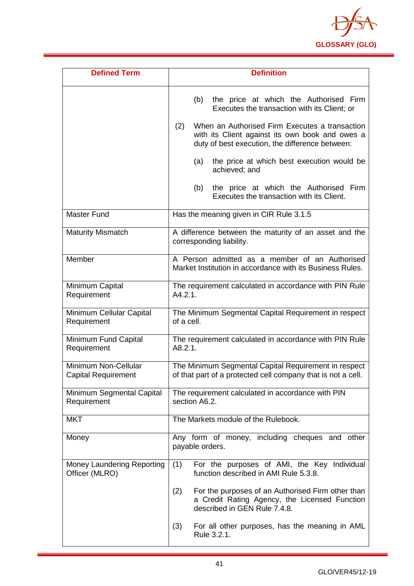

| <b>Defined Term</b>                                | <b>Definition</b>                                                                                                                                           |
|----------------------------------------------------|-------------------------------------------------------------------------------------------------------------------------------------------------------------|
|                                                    | the price at which the Authorised Firm<br>(b)<br>Executes the transaction with its Client; or                                                               |
|                                                    | When an Authorised Firm Executes a transaction<br>(2)<br>with its Client against its own book and owes a<br>duty of best execution, the difference between: |
|                                                    | the price at which best execution would be<br>(a)<br>achieved; and                                                                                          |
|                                                    | the price at which the Authorised Firm<br>(b)<br>Executes the transaction with its Client.                                                                  |
| <b>Master Fund</b>                                 | Has the meaning given in CIR Rule 3.1.5                                                                                                                     |
| <b>Maturity Mismatch</b>                           | A difference between the maturity of an asset and the<br>corresponding liability.                                                                           |
| Member                                             | A Person admitted as a member of an Authorised<br>Market Institution in accordance with its Business Rules.                                                 |
| Minimum Capital<br>Requirement                     | The requirement calculated in accordance with PIN Rule<br>A4.2.1.                                                                                           |
| Minimum Cellular Capital<br>Requirement            | The Minimum Segmental Capital Requirement in respect<br>of a cell.                                                                                          |
| Minimum Fund Capital<br>Requirement                | The requirement calculated in accordance with PIN Rule<br>A8.2.1.                                                                                           |
| Minimum Non-Cellular<br><b>Capital Requirement</b> | The Minimum Segmental Capital Requirement in respect<br>of that part of a protected cell company that is not a cell.                                        |
| Minimum Segmental Capital<br>Requirement           | The requirement calculated in accordance with PIN<br>section A6.2.                                                                                          |
| <b>MKT</b>                                         | The Markets module of the Rulebook.                                                                                                                         |
| Money                                              | Any form of money, including cheques and other<br>payable orders.                                                                                           |
| Money Laundering Reporting<br>Officer (MLRO)       | For the purposes of AMI, the Key Individual<br>(1)<br>function described in AMI Rule 5.3.8.                                                                 |
|                                                    | For the purposes of an Authorised Firm other than<br>(2)<br>a Credit Rating Agency, the Licensed Function<br>described in GEN Rule 7.4.8.                   |
|                                                    | For all other purposes, has the meaning in AML<br>(3)<br>Rule 3.2.1.                                                                                        |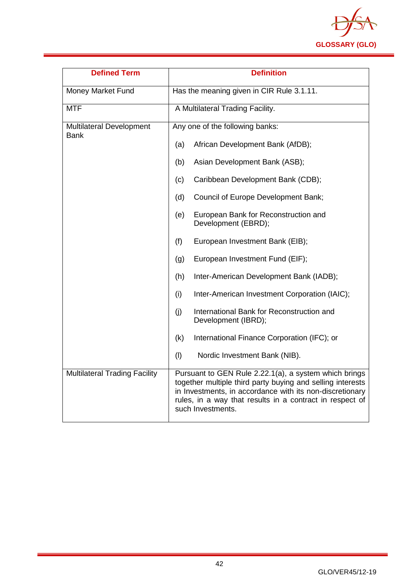

| <b>Defined Term</b>                            | <b>Definition</b>                                                                                                                                                                                                                                                |
|------------------------------------------------|------------------------------------------------------------------------------------------------------------------------------------------------------------------------------------------------------------------------------------------------------------------|
| Money Market Fund                              | Has the meaning given in CIR Rule 3.1.11.                                                                                                                                                                                                                        |
| <b>MTF</b>                                     | A Multilateral Trading Facility.                                                                                                                                                                                                                                 |
| <b>Multilateral Development</b><br><b>Bank</b> | Any one of the following banks:                                                                                                                                                                                                                                  |
|                                                | (a)<br>African Development Bank (AfDB);                                                                                                                                                                                                                          |
|                                                | Asian Development Bank (ASB);<br>(b)                                                                                                                                                                                                                             |
|                                                | Caribbean Development Bank (CDB);<br>(c)                                                                                                                                                                                                                         |
|                                                | Council of Europe Development Bank;<br>(d)                                                                                                                                                                                                                       |
|                                                | European Bank for Reconstruction and<br>(e)<br>Development (EBRD);                                                                                                                                                                                               |
|                                                | European Investment Bank (EIB);<br>(f)                                                                                                                                                                                                                           |
|                                                | European Investment Fund (EIF);<br>(g)                                                                                                                                                                                                                           |
|                                                | (h)<br>Inter-American Development Bank (IADB);                                                                                                                                                                                                                   |
|                                                | Inter-American Investment Corporation (IAIC);<br>(i)                                                                                                                                                                                                             |
|                                                | International Bank for Reconstruction and<br>(i)<br>Development (IBRD);                                                                                                                                                                                          |
|                                                | International Finance Corporation (IFC); or<br>(k)                                                                                                                                                                                                               |
|                                                | (1)<br>Nordic Investment Bank (NIB).                                                                                                                                                                                                                             |
| <b>Multilateral Trading Facility</b>           | Pursuant to GEN Rule 2.22.1(a), a system which brings<br>together multiple third party buying and selling interests<br>in Investments, in accordance with its non-discretionary<br>rules, in a way that results in a contract in respect of<br>such Investments. |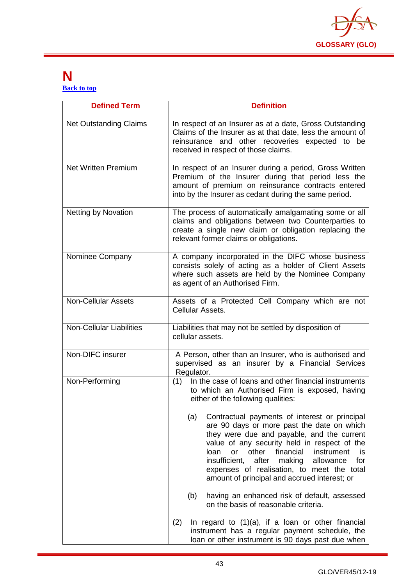

#### <span id="page-43-0"></span>**N [Back to top](#page-1-0)**

| <b>Defined Term</b>             | <b>Definition</b>                                                                                                                                                                                                                                                                                                                                                                                                  |
|---------------------------------|--------------------------------------------------------------------------------------------------------------------------------------------------------------------------------------------------------------------------------------------------------------------------------------------------------------------------------------------------------------------------------------------------------------------|
| <b>Net Outstanding Claims</b>   | In respect of an Insurer as at a date, Gross Outstanding<br>Claims of the Insurer as at that date, less the amount of<br>reinsurance and other recoveries expected to be<br>received in respect of those claims.                                                                                                                                                                                                   |
| <b>Net Written Premium</b>      | In respect of an Insurer during a period, Gross Written<br>Premium of the Insurer during that period less the<br>amount of premium on reinsurance contracts entered<br>into by the Insurer as cedant during the same period.                                                                                                                                                                                       |
| <b>Netting by Novation</b>      | The process of automatically amalgamating some or all<br>claims and obligations between two Counterparties to<br>create a single new claim or obligation replacing the<br>relevant former claims or obligations.                                                                                                                                                                                                   |
| Nominee Company                 | A company incorporated in the DIFC whose business<br>consists solely of acting as a holder of Client Assets<br>where such assets are held by the Nominee Company<br>as agent of an Authorised Firm.                                                                                                                                                                                                                |
| <b>Non-Cellular Assets</b>      | Assets of a Protected Cell Company which are not<br>Cellular Assets.                                                                                                                                                                                                                                                                                                                                               |
| <b>Non-Cellular Liabilities</b> | Liabilities that may not be settled by disposition of<br>cellular assets.                                                                                                                                                                                                                                                                                                                                          |
| Non-DIFC insurer                | A Person, other than an Insurer, who is authorised and<br>supervised as an insurer by a Financial Services<br>Regulator.                                                                                                                                                                                                                                                                                           |
| Non-Performing                  | (1) In the case of loans and other financial instruments<br>to which an Authorised Firm is exposed, having<br>either of the following qualities:                                                                                                                                                                                                                                                                   |
|                                 | (a)<br>Contractual payments of interest or principal<br>are 90 days or more past the date on which<br>they were due and payable, and the current<br>value of any security held in respect of the<br>loan<br>other<br>financial<br>instrument<br><b>or</b><br>is<br>insufficient,<br>after making<br>for<br>allowance<br>expenses of realisation, to meet the total<br>amount of principal and accrued interest; or |
|                                 | having an enhanced risk of default, assessed<br>(b)<br>on the basis of reasonable criteria.                                                                                                                                                                                                                                                                                                                        |
|                                 | (2)<br>In regard to $(1)(a)$ , if a loan or other financial<br>instrument has a regular payment schedule, the<br>loan or other instrument is 90 days past due when                                                                                                                                                                                                                                                 |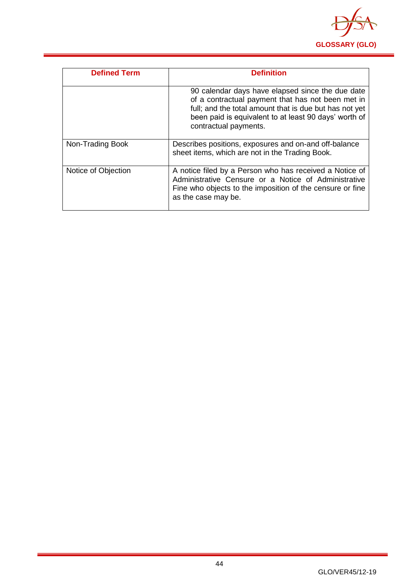

| <b>Defined Term</b> | <b>Definition</b>                                                                                                                                                                                                                                 |
|---------------------|---------------------------------------------------------------------------------------------------------------------------------------------------------------------------------------------------------------------------------------------------|
|                     | 90 calendar days have elapsed since the due date<br>of a contractual payment that has not been met in<br>full; and the total amount that is due but has not yet<br>been paid is equivalent to at least 90 days' worth of<br>contractual payments. |
| Non-Trading Book    | Describes positions, exposures and on-and off-balance<br>sheet items, which are not in the Trading Book.                                                                                                                                          |
| Notice of Objection | A notice filed by a Person who has received a Notice of<br>Administrative Censure or a Notice of Administrative<br>Fine who objects to the imposition of the censure or fine<br>as the case may be.                                               |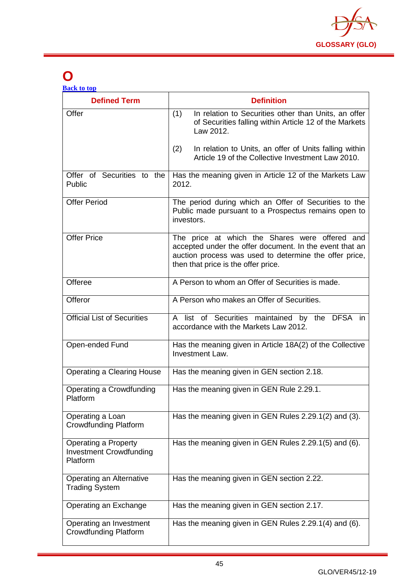

## <span id="page-45-0"></span>**O**

| <b>Defined Term</b>                                                | <b>Definition</b>                                                                                                                                                                                          |
|--------------------------------------------------------------------|------------------------------------------------------------------------------------------------------------------------------------------------------------------------------------------------------------|
| Offer                                                              | (1)<br>In relation to Securities other than Units, an offer<br>of Securities falling within Article 12 of the Markets<br>Law 2012.                                                                         |
|                                                                    | In relation to Units, an offer of Units falling within<br>(2)<br>Article 19 of the Collective Investment Law 2010.                                                                                         |
| Offer of Securities to the<br>Public                               | Has the meaning given in Article 12 of the Markets Law<br>2012.                                                                                                                                            |
| <b>Offer Period</b>                                                | The period during which an Offer of Securities to the<br>Public made pursuant to a Prospectus remains open to<br>investors.                                                                                |
| <b>Offer Price</b>                                                 | The price at which the Shares were offered and<br>accepted under the offer document. In the event that an<br>auction process was used to determine the offer price,<br>then that price is the offer price. |
| Offeree                                                            | A Person to whom an Offer of Securities is made.                                                                                                                                                           |
| Offeror                                                            | A Person who makes an Offer of Securities.                                                                                                                                                                 |
| <b>Official List of Securities</b>                                 | A list of Securities maintained by the DFSA in<br>accordance with the Markets Law 2012.                                                                                                                    |
| Open-ended Fund                                                    | Has the meaning given in Article 18A(2) of the Collective<br>Investment Law.                                                                                                                               |
| <b>Operating a Clearing House</b>                                  | Has the meaning given in GEN section 2.18.                                                                                                                                                                 |
| Operating a Crowdfunding<br>Platform                               | Has the meaning given in GEN Rule 2.29.1.                                                                                                                                                                  |
| Operating a Loan<br><b>Crowdfunding Platform</b>                   | Has the meaning given in GEN Rules 2.29.1(2) and (3).                                                                                                                                                      |
| Operating a Property<br><b>Investment Crowdfunding</b><br>Platform | Has the meaning given in GEN Rules 2.29.1(5) and (6).                                                                                                                                                      |
| Operating an Alternative<br><b>Trading System</b>                  | Has the meaning given in GEN section 2.22.                                                                                                                                                                 |
| Operating an Exchange                                              | Has the meaning given in GEN section 2.17.                                                                                                                                                                 |
| Operating an Investment<br><b>Crowdfunding Platform</b>            | Has the meaning given in GEN Rules 2.29.1(4) and (6).                                                                                                                                                      |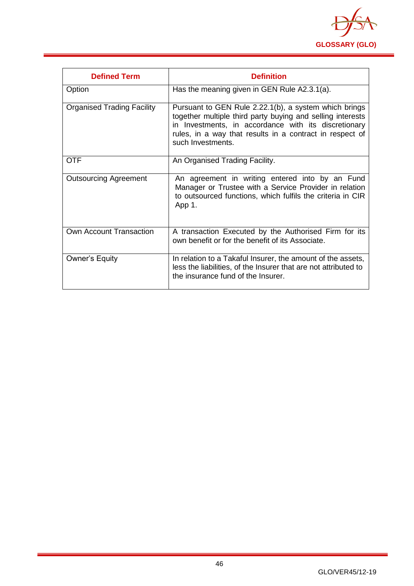

| <b>Defined Term</b>               | <b>Definition</b>                                                                                                                                                                                                                                            |
|-----------------------------------|--------------------------------------------------------------------------------------------------------------------------------------------------------------------------------------------------------------------------------------------------------------|
| Option                            | Has the meaning given in GEN Rule A2.3.1(a).                                                                                                                                                                                                                 |
| <b>Organised Trading Facility</b> | Pursuant to GEN Rule 2.22.1(b), a system which brings<br>together multiple third party buying and selling interests<br>in Investments, in accordance with its discretionary<br>rules, in a way that results in a contract in respect of<br>such Investments. |
| <b>OTF</b>                        | An Organised Trading Facility.                                                                                                                                                                                                                               |
| <b>Outsourcing Agreement</b>      | An agreement in writing entered into by an Fund<br>Manager or Trustee with a Service Provider in relation<br>to outsourced functions, which fulfils the criteria in CIR<br>App 1.                                                                            |
| Own Account Transaction           | A transaction Executed by the Authorised Firm for its<br>own benefit or for the benefit of its Associate.                                                                                                                                                    |
| <b>Owner's Equity</b>             | In relation to a Takaful Insurer, the amount of the assets,<br>less the liabilities, of the Insurer that are not attributed to<br>the insurance fund of the Insurer.                                                                                         |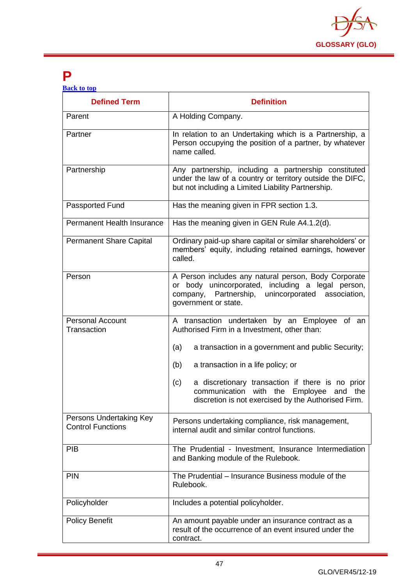

### <span id="page-47-0"></span>**P**

| <b>Back to top</b> |  |  |
|--------------------|--|--|
|                    |  |  |

| <b>Defined Term</b>                                 | <b>Definition</b>                                                                                                                                                                                  |
|-----------------------------------------------------|----------------------------------------------------------------------------------------------------------------------------------------------------------------------------------------------------|
| Parent                                              | A Holding Company.                                                                                                                                                                                 |
| Partner                                             | In relation to an Undertaking which is a Partnership, a<br>Person occupying the position of a partner, by whatever<br>name called.                                                                 |
| Partnership                                         | Any partnership, including a partnership constituted<br>under the law of a country or territory outside the DIFC,<br>but not including a Limited Liability Partnership.                            |
| Passported Fund                                     | Has the meaning given in FPR section 1.3.                                                                                                                                                          |
| <b>Permanent Health Insurance</b>                   | Has the meaning given in GEN Rule A4.1.2(d).                                                                                                                                                       |
| <b>Permanent Share Capital</b>                      | Ordinary paid-up share capital or similar shareholders' or<br>members' equity, including retained earnings, however<br>called.                                                                     |
| Person                                              | A Person includes any natural person, Body Corporate<br>unincorporated, including a legal person,<br>body<br>or<br>Partnership, unincorporated<br>company,<br>association,<br>government or state. |
| <b>Personal Account</b><br>Transaction              | A transaction undertaken by an Employee<br>of an<br>Authorised Firm in a Investment, other than:                                                                                                   |
|                                                     | (a)<br>a transaction in a government and public Security;                                                                                                                                          |
|                                                     | (b)<br>a transaction in a life policy; or                                                                                                                                                          |
|                                                     | a discretionary transaction if there is no prior<br>(c)<br>communication<br>with the Employee and the<br>discretion is not exercised by the Authorised Firm.                                       |
| Persons Undertaking Key<br><b>Control Functions</b> | Persons undertaking compliance, risk management,<br>internal audit and similar control functions.                                                                                                  |
| <b>PIB</b>                                          | The Prudential - Investment, Insurance Intermediation<br>and Banking module of the Rulebook.                                                                                                       |
| <b>PIN</b>                                          | The Prudential - Insurance Business module of the<br>Rulebook.                                                                                                                                     |
| Policyholder                                        | Includes a potential policyholder.                                                                                                                                                                 |
| <b>Policy Benefit</b>                               | An amount payable under an insurance contract as a<br>result of the occurrence of an event insured under the<br>contract.                                                                          |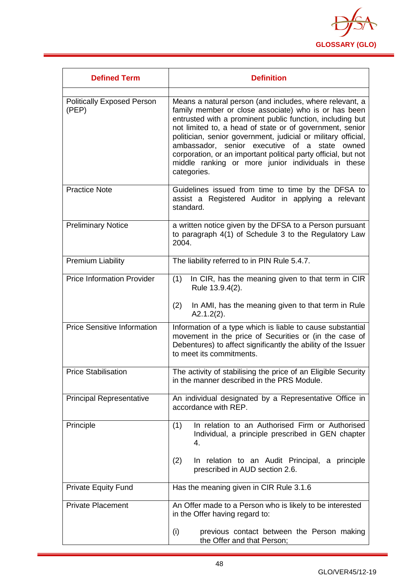

| <b>Defined Term</b>                        | <b>Definition</b>                                                                                                                                                                                                                                                                                                                                                                                                                                                                                 |
|--------------------------------------------|---------------------------------------------------------------------------------------------------------------------------------------------------------------------------------------------------------------------------------------------------------------------------------------------------------------------------------------------------------------------------------------------------------------------------------------------------------------------------------------------------|
| <b>Politically Exposed Person</b><br>(PEP) | Means a natural person (and includes, where relevant, a<br>family member or close associate) who is or has been<br>entrusted with a prominent public function, including but<br>not limited to, a head of state or of government, senior<br>politician, senior government, judicial or military official,<br>ambassador, senior executive of a state owned<br>corporation, or an important political party official, but not<br>middle ranking or more junior individuals in these<br>categories. |
| <b>Practice Note</b>                       | Guidelines issued from time to time by the DFSA to<br>assist a Registered Auditor in applying a relevant<br>standard.                                                                                                                                                                                                                                                                                                                                                                             |
| <b>Preliminary Notice</b>                  | a written notice given by the DFSA to a Person pursuant<br>to paragraph 4(1) of Schedule 3 to the Regulatory Law<br>2004.                                                                                                                                                                                                                                                                                                                                                                         |
| <b>Premium Liability</b>                   | The liability referred to in PIN Rule 5.4.7.                                                                                                                                                                                                                                                                                                                                                                                                                                                      |
| <b>Price Information Provider</b>          | In CIR, has the meaning given to that term in CIR<br>(1)<br>Rule 13.9.4(2).<br>(2)<br>In AMI, has the meaning given to that term in Rule                                                                                                                                                                                                                                                                                                                                                          |
| <b>Price Sensitive Information</b>         | $A2.1.2(2)$ .<br>Information of a type which is liable to cause substantial<br>movement in the price of Securities or (in the case of<br>Debentures) to affect significantly the ability of the Issuer<br>to meet its commitments.                                                                                                                                                                                                                                                                |
| <b>Price Stabilisation</b>                 | The activity of stabilising the price of an Eligible Security<br>in the manner described in the PRS Module.                                                                                                                                                                                                                                                                                                                                                                                       |
| <b>Principal Representative</b>            | An individual designated by a Representative Office in<br>accordance with REP.                                                                                                                                                                                                                                                                                                                                                                                                                    |
| Principle                                  | In relation to an Authorised Firm or Authorised<br>(1)<br>Individual, a principle prescribed in GEN chapter<br>4.                                                                                                                                                                                                                                                                                                                                                                                 |
|                                            | (2)<br>In relation to an Audit Principal, a principle<br>prescribed in AUD section 2.6.                                                                                                                                                                                                                                                                                                                                                                                                           |
| <b>Private Equity Fund</b>                 | Has the meaning given in CIR Rule 3.1.6                                                                                                                                                                                                                                                                                                                                                                                                                                                           |
| <b>Private Placement</b>                   | An Offer made to a Person who is likely to be interested<br>in the Offer having regard to:                                                                                                                                                                                                                                                                                                                                                                                                        |
|                                            | (i)<br>previous contact between the Person making<br>the Offer and that Person;                                                                                                                                                                                                                                                                                                                                                                                                                   |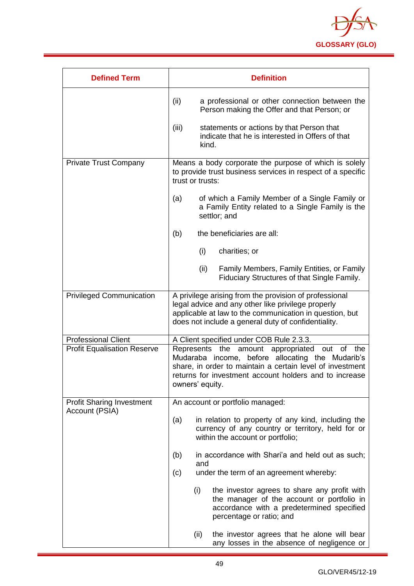

| <b>Defined Term</b>                | <b>Definition</b>                                                                                                                                                                                                                              |  |
|------------------------------------|------------------------------------------------------------------------------------------------------------------------------------------------------------------------------------------------------------------------------------------------|--|
|                                    | (ii)<br>a professional or other connection between the<br>Person making the Offer and that Person; or                                                                                                                                          |  |
|                                    | (iii)<br>statements or actions by that Person that<br>indicate that he is interested in Offers of that<br>kind.                                                                                                                                |  |
| <b>Private Trust Company</b>       | Means a body corporate the purpose of which is solely<br>to provide trust business services in respect of a specific<br>trust or trusts:                                                                                                       |  |
|                                    | of which a Family Member of a Single Family or<br>(a)<br>a Family Entity related to a Single Family is the<br>settlor; and                                                                                                                     |  |
|                                    | (b)<br>the beneficiaries are all:                                                                                                                                                                                                              |  |
|                                    | (i)<br>charities; or                                                                                                                                                                                                                           |  |
|                                    | (ii)<br>Family Members, Family Entities, or Family<br>Fiduciary Structures of that Single Family.                                                                                                                                              |  |
| <b>Privileged Communication</b>    | A privilege arising from the provision of professional<br>legal advice and any other like privilege properly<br>applicable at law to the communication in question, but<br>does not include a general duty of confidentiality.                 |  |
| <b>Professional Client</b>         | A Client specified under COB Rule 2.3.3.                                                                                                                                                                                                       |  |
| <b>Profit Equalisation Reserve</b> | Represents the amount appropriated out of<br>the<br>Mudaraba income, before allocating the Mudarib's<br>share, in order to maintain a certain level of investment<br>returns for investment account holders and to increase<br>owners' equity. |  |
| <b>Profit Sharing Investment</b>   | An account or portfolio managed:                                                                                                                                                                                                               |  |
| Account (PSIA)                     | in relation to property of any kind, including the<br>(a)<br>currency of any country or territory, held for or<br>within the account or portfolio;                                                                                             |  |
|                                    | in accordance with Shari'a and held out as such;<br>(b)<br>and                                                                                                                                                                                 |  |
|                                    | under the term of an agreement whereby:<br>(c)                                                                                                                                                                                                 |  |
|                                    | (i)<br>the investor agrees to share any profit with<br>the manager of the account or portfolio in<br>accordance with a predetermined specified<br>percentage or ratio; and                                                                     |  |
|                                    | (ii)<br>the investor agrees that he alone will bear<br>any losses in the absence of negligence or                                                                                                                                              |  |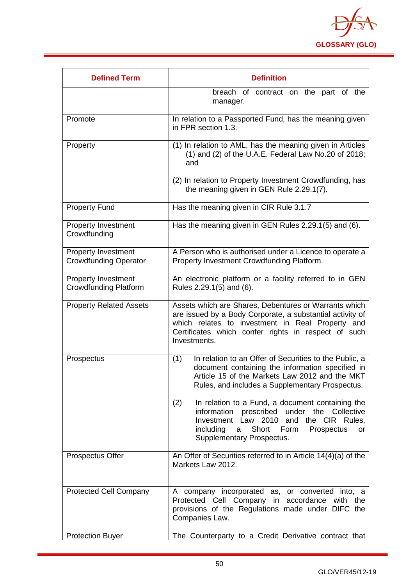

| <b>Defined Term</b>                                        | <b>Definition</b>                                                                                                                                                                                                                                       |
|------------------------------------------------------------|---------------------------------------------------------------------------------------------------------------------------------------------------------------------------------------------------------------------------------------------------------|
|                                                            | breach of contract on the part of the<br>manager.                                                                                                                                                                                                       |
| Promote                                                    | In relation to a Passported Fund, has the meaning given<br>in FPR section 1.3.                                                                                                                                                                          |
| Property                                                   | (1) In relation to AML, has the meaning given in Articles<br>$(1)$ and $(2)$ of the U.A.E. Federal Law No.20 of 2018;<br>and                                                                                                                            |
|                                                            | (2) In relation to Property Investment Crowdfunding, has<br>the meaning given in GEN Rule 2.29.1(7).                                                                                                                                                    |
| <b>Property Fund</b>                                       | Has the meaning given in CIR Rule 3.1.7                                                                                                                                                                                                                 |
| <b>Property Investment</b><br>Crowdfunding                 | Has the meaning given in GEN Rules 2.29.1(5) and (6).                                                                                                                                                                                                   |
| <b>Property Investment</b><br><b>Crowdfunding Operator</b> | A Person who is authorised under a Licence to operate a<br>Property Investment Crowdfunding Platform.                                                                                                                                                   |
| <b>Property Investment</b><br><b>Crowdfunding Platform</b> | An electronic platform or a facility referred to in GEN<br>Rules 2.29.1(5) and (6).                                                                                                                                                                     |
| <b>Property Related Assets</b>                             | Assets which are Shares, Debentures or Warrants which<br>are issued by a Body Corporate, a substantial activity of<br>which relates to investment in Real Property and<br>Certificates which confer rights in respect of such<br>Investments.           |
| Prospectus                                                 | In relation to an Offer of Securities to the Public, a<br>(1)<br>document containing the information specified in<br>Article 15 of the Markets Law 2012 and the MKT<br>Rules, and includes a Supplementary Prospectus.                                  |
|                                                            | (2)<br>In relation to a Fund, a document containing the<br>prescribed<br>under the Collective<br>information<br>Investment Law 2010<br>and<br>the CIR Rules,<br>including<br>Short<br>Prospectus<br>Form<br>a<br><b>or</b><br>Supplementary Prospectus. |
| <b>Prospectus Offer</b>                                    | An Offer of Securities referred to in Article 14(4)(a) of the<br>Markets Law 2012.                                                                                                                                                                      |
| Protected Cell Company                                     | A company incorporated as, or converted into, a<br>Protected Cell Company in accordance with the<br>provisions of the Regulations made under DIFC the<br>Companies Law.                                                                                 |
| <b>Protection Buyer</b>                                    | The Counterparty to a Credit Derivative contract that                                                                                                                                                                                                   |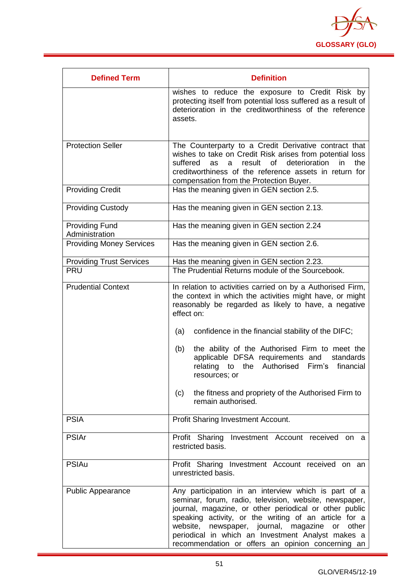

| <b>Defined Term</b>                     | <b>Definition</b>                                                                                                                                                                                                                                                                                                                                                                             |
|-----------------------------------------|-----------------------------------------------------------------------------------------------------------------------------------------------------------------------------------------------------------------------------------------------------------------------------------------------------------------------------------------------------------------------------------------------|
|                                         | wishes to reduce the exposure to Credit Risk by<br>protecting itself from potential loss suffered as a result of<br>deterioration in the creditworthiness of the reference<br>assets.                                                                                                                                                                                                         |
| <b>Protection Seller</b>                | The Counterparty to a Credit Derivative contract that                                                                                                                                                                                                                                                                                                                                         |
|                                         | wishes to take on Credit Risk arises from potential loss<br>suffered<br>result<br>of<br>deterioration<br>the<br>in<br>as<br>a<br>creditworthiness of the reference assets in return for<br>compensation from the Protection Buyer.                                                                                                                                                            |
| <b>Providing Credit</b>                 | Has the meaning given in GEN section 2.5.                                                                                                                                                                                                                                                                                                                                                     |
| <b>Providing Custody</b>                | Has the meaning given in GEN section 2.13.                                                                                                                                                                                                                                                                                                                                                    |
| <b>Providing Fund</b><br>Administration | Has the meaning given in GEN section 2.24                                                                                                                                                                                                                                                                                                                                                     |
| <b>Providing Money Services</b>         | Has the meaning given in GEN section 2.6.                                                                                                                                                                                                                                                                                                                                                     |
| <b>Providing Trust Services</b>         | Has the meaning given in GEN section 2.23.                                                                                                                                                                                                                                                                                                                                                    |
| <b>PRU</b>                              | The Prudential Returns module of the Sourcebook.                                                                                                                                                                                                                                                                                                                                              |
| <b>Prudential Context</b>               | In relation to activities carried on by a Authorised Firm,<br>the context in which the activities might have, or might<br>reasonably be regarded as likely to have, a negative<br>effect on:                                                                                                                                                                                                  |
|                                         | confidence in the financial stability of the DIFC;<br>(a)                                                                                                                                                                                                                                                                                                                                     |
|                                         | the ability of the Authorised Firm to meet the<br>(b)<br>applicable DFSA requirements and<br>standards<br>the Authorised<br>Firm's<br>relating<br>financial<br>to<br>resources; or                                                                                                                                                                                                            |
|                                         | the fitness and propriety of the Authorised Firm to<br>(c)<br>remain authorised.                                                                                                                                                                                                                                                                                                              |
| <b>PSIA</b>                             | Profit Sharing Investment Account.                                                                                                                                                                                                                                                                                                                                                            |
| <b>PSIAr</b>                            | Profit Sharing Investment Account received on a<br>restricted basis.                                                                                                                                                                                                                                                                                                                          |
| <b>PSIAu</b>                            | Profit Sharing Investment Account received on an<br>unrestricted basis.                                                                                                                                                                                                                                                                                                                       |
| <b>Public Appearance</b>                | Any participation in an interview which is part of a<br>seminar, forum, radio, television, website, newspaper,<br>journal, magazine, or other periodical or other public<br>speaking activity, or the writing of an article for a<br>website, newspaper, journal, magazine or other<br>periodical in which an Investment Analyst makes a<br>recommendation or offers an opinion concerning an |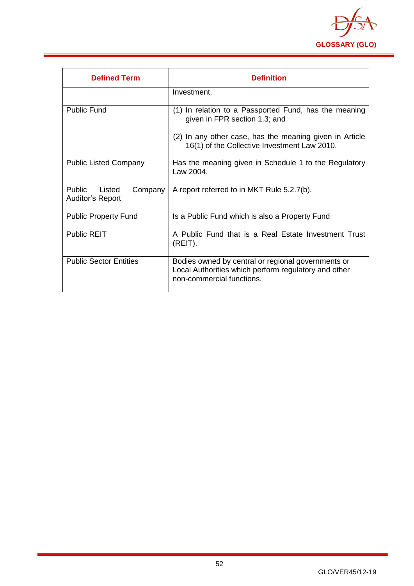

| <b>Defined Term</b>                                    | <b>Definition</b>                                                                                                                       |
|--------------------------------------------------------|-----------------------------------------------------------------------------------------------------------------------------------------|
|                                                        | Investment.                                                                                                                             |
| Public Fund                                            | (1) In relation to a Passported Fund, has the meaning<br>given in FPR section 1.3; and                                                  |
|                                                        | (2) In any other case, has the meaning given in Article<br>16(1) of the Collective Investment Law 2010.                                 |
| <b>Public Listed Company</b>                           | Has the meaning given in Schedule 1 to the Regulatory<br>Law 2004.                                                                      |
| <b>Public</b><br>Listed<br>Company<br>Auditor's Report | A report referred to in MKT Rule 5.2.7(b).                                                                                              |
| <b>Public Property Fund</b>                            | Is a Public Fund which is also a Property Fund                                                                                          |
| <b>Public REIT</b>                                     | A Public Fund that is a Real Estate Investment Trust<br>(REIT).                                                                         |
| <b>Public Sector Entities</b>                          | Bodies owned by central or regional governments or<br>Local Authorities which perform regulatory and other<br>non-commercial functions. |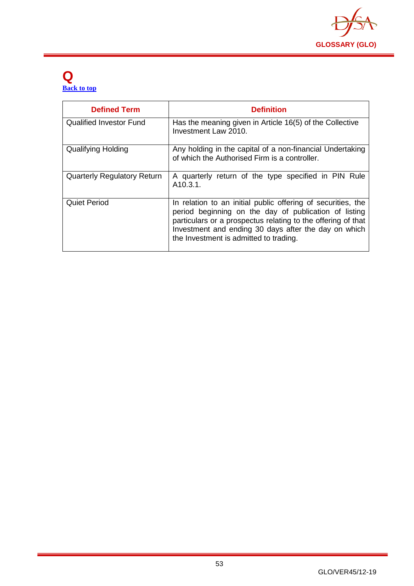

#### <span id="page-53-0"></span>**Q [Back to top](#page-1-0)**

| <b>Defined Term</b>                | <b>Definition</b>                                                                                                                                                                                                                                                                       |
|------------------------------------|-----------------------------------------------------------------------------------------------------------------------------------------------------------------------------------------------------------------------------------------------------------------------------------------|
| <b>Qualified Investor Fund</b>     | Has the meaning given in Article 16(5) of the Collective<br>Investment Law 2010.                                                                                                                                                                                                        |
| <b>Qualifying Holding</b>          | Any holding in the capital of a non-financial Undertaking<br>of which the Authorised Firm is a controller.                                                                                                                                                                              |
| <b>Quarterly Regulatory Return</b> | A quarterly return of the type specified in PIN Rule<br>A10.3.1.                                                                                                                                                                                                                        |
| <b>Quiet Period</b>                | In relation to an initial public offering of securities, the<br>period beginning on the day of publication of listing<br>particulars or a prospectus relating to the offering of that<br>Investment and ending 30 days after the day on which<br>the Investment is admitted to trading. |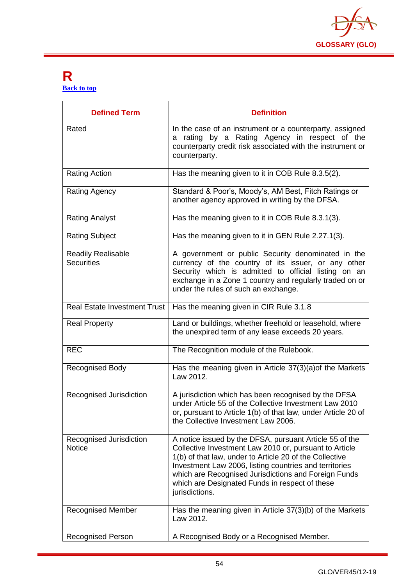

#### <span id="page-54-0"></span>**R [Back to top](#page-1-0)**

| <b>Defined Term</b>                            | <b>Definition</b>                                                                                                                                                                                                                                                                                                                                                  |
|------------------------------------------------|--------------------------------------------------------------------------------------------------------------------------------------------------------------------------------------------------------------------------------------------------------------------------------------------------------------------------------------------------------------------|
| Rated                                          | In the case of an instrument or a counterparty, assigned<br>a rating by a Rating Agency in respect of the<br>counterparty credit risk associated with the instrument or<br>counterparty.                                                                                                                                                                           |
| <b>Rating Action</b>                           | Has the meaning given to it in COB Rule 8.3.5(2).                                                                                                                                                                                                                                                                                                                  |
| Rating Agency                                  | Standard & Poor's, Moody's, AM Best, Fitch Ratings or<br>another agency approved in writing by the DFSA.                                                                                                                                                                                                                                                           |
| <b>Rating Analyst</b>                          | Has the meaning given to it in COB Rule 8.3.1(3).                                                                                                                                                                                                                                                                                                                  |
| <b>Rating Subject</b>                          | Has the meaning given to it in GEN Rule 2.27.1(3).                                                                                                                                                                                                                                                                                                                 |
| <b>Readily Realisable</b><br><b>Securities</b> | A government or public Security denominated in the<br>currency of the country of its issuer, or any other<br>Security which is admitted to official listing on an<br>exchange in a Zone 1 country and regularly traded on or<br>under the rules of such an exchange.                                                                                               |
| <b>Real Estate Investment Trust</b>            | Has the meaning given in CIR Rule 3.1.8                                                                                                                                                                                                                                                                                                                            |
| <b>Real Property</b>                           | Land or buildings, whether freehold or leasehold, where<br>the unexpired term of any lease exceeds 20 years.                                                                                                                                                                                                                                                       |
| <b>REC</b>                                     | The Recognition module of the Rulebook.                                                                                                                                                                                                                                                                                                                            |
| <b>Recognised Body</b>                         | Has the meaning given in Article 37(3)(a) of the Markets<br>Law 2012.                                                                                                                                                                                                                                                                                              |
| Recognised Jurisdiction                        | A jurisdiction which has been recognised by the DFSA<br>under Article 55 of the Collective Investment Law 2010<br>or, pursuant to Article 1(b) of that law, under Article 20 of<br>the Collective Investment Law 2006.                                                                                                                                             |
| Recognised Jurisdiction<br><b>Notice</b>       | A notice issued by the DFSA, pursuant Article 55 of the<br>Collective Investment Law 2010 or, pursuant to Article<br>1(b) of that law, under to Article 20 of the Collective<br>Investment Law 2006, listing countries and territories<br>which are Recognised Jurisdictions and Foreign Funds<br>which are Designated Funds in respect of these<br>jurisdictions. |
| <b>Recognised Member</b>                       | Has the meaning given in Article 37(3)(b) of the Markets<br>Law 2012.                                                                                                                                                                                                                                                                                              |
| <b>Recognised Person</b>                       | A Recognised Body or a Recognised Member.                                                                                                                                                                                                                                                                                                                          |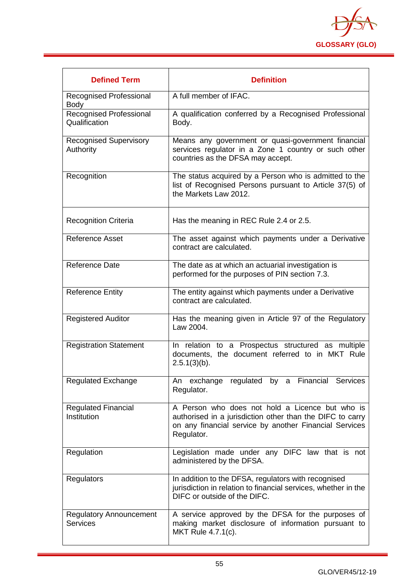

| <b>Defined Term</b>                               | <b>Definition</b>                                                                                                                                                                    |
|---------------------------------------------------|--------------------------------------------------------------------------------------------------------------------------------------------------------------------------------------|
| Recognised Professional<br><b>Body</b>            | A full member of IFAC.                                                                                                                                                               |
| Recognised Professional<br>Qualification          | A qualification conferred by a Recognised Professional<br>Body.                                                                                                                      |
| <b>Recognised Supervisory</b><br>Authority        | Means any government or quasi-government financial<br>services regulator in a Zone 1 country or such other<br>countries as the DFSA may accept.                                      |
| Recognition                                       | The status acquired by a Person who is admitted to the<br>list of Recognised Persons pursuant to Article 37(5) of<br>the Markets Law 2012.                                           |
| <b>Recognition Criteria</b>                       | Has the meaning in REC Rule 2.4 or 2.5.                                                                                                                                              |
| <b>Reference Asset</b>                            | The asset against which payments under a Derivative<br>contract are calculated.                                                                                                      |
| <b>Reference Date</b>                             | The date as at which an actuarial investigation is<br>performed for the purposes of PIN section 7.3.                                                                                 |
| <b>Reference Entity</b>                           | The entity against which payments under a Derivative<br>contract are calculated.                                                                                                     |
| <b>Registered Auditor</b>                         | Has the meaning given in Article 97 of the Regulatory<br>Law 2004.                                                                                                                   |
| <b>Registration Statement</b>                     | In relation to a Prospectus structured as multiple<br>documents, the document referred to in MKT Rule<br>$2.5.1(3)(b)$ .                                                             |
| <b>Regulated Exchange</b>                         | An exchange regulated by a Financial Services<br>Regulator.                                                                                                                          |
| <b>Regulated Financial</b><br>Institution         | A Person who does not hold a Licence but who is<br>authorised in a jurisdiction other than the DIFC to carry<br>on any financial service by another Financial Services<br>Regulator. |
| Regulation                                        | Legislation made under any DIFC law that is not<br>administered by the DFSA.                                                                                                         |
| <b>Regulators</b>                                 | In addition to the DFSA, regulators with recognised<br>jurisdiction in relation to financial services, whether in the<br>DIFC or outside of the DIFC.                                |
| <b>Regulatory Announcement</b><br><b>Services</b> | A service approved by the DFSA for the purposes of<br>making market disclosure of information pursuant to<br>MKT Rule 4.7.1(c).                                                      |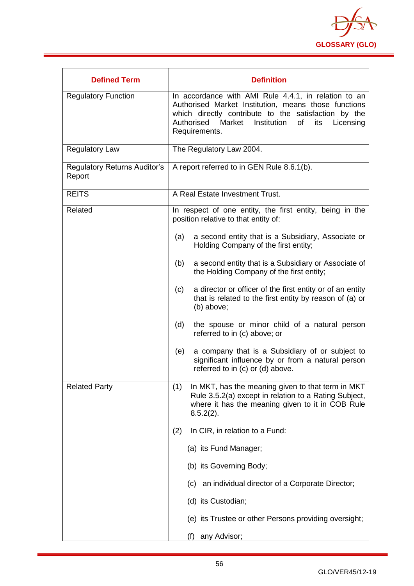

| <b>Defined Term</b>                           | <b>Definition</b>                                                                                                                                                                                                                                |
|-----------------------------------------------|--------------------------------------------------------------------------------------------------------------------------------------------------------------------------------------------------------------------------------------------------|
| <b>Regulatory Function</b>                    | In accordance with AMI Rule 4.4.1, in relation to an<br>Authorised Market Institution, means those functions<br>which directly contribute to the satisfaction by the<br>Authorised Market Institution<br>of<br>its<br>Licensing<br>Requirements. |
| <b>Regulatory Law</b>                         | The Regulatory Law 2004.                                                                                                                                                                                                                         |
| <b>Regulatory Returns Auditor's</b><br>Report | A report referred to in GEN Rule 8.6.1(b).                                                                                                                                                                                                       |
| <b>REITS</b>                                  | A Real Estate Investment Trust.                                                                                                                                                                                                                  |
| Related                                       | In respect of one entity, the first entity, being in the<br>position relative to that entity of:                                                                                                                                                 |
|                                               | a second entity that is a Subsidiary, Associate or<br>(a)<br>Holding Company of the first entity;                                                                                                                                                |
|                                               | a second entity that is a Subsidiary or Associate of<br>(b)<br>the Holding Company of the first entity;                                                                                                                                          |
|                                               | a director or officer of the first entity or of an entity<br>(c)<br>that is related to the first entity by reason of (a) or<br>(b) above;                                                                                                        |
|                                               | (d)<br>the spouse or minor child of a natural person<br>referred to in (c) above; or                                                                                                                                                             |
|                                               | a company that is a Subsidiary of or subject to<br>(e)<br>significant influence by or from a natural person<br>referred to in (c) or (d) above.                                                                                                  |
| <b>Related Party</b>                          | (1)<br>In MKT, has the meaning given to that term in MKT<br>Rule 3.5.2(a) except in relation to a Rating Subject,<br>where it has the meaning given to it in COB Rule<br>$8.5.2(2)$ .                                                            |
|                                               | In CIR, in relation to a Fund:<br>(2)                                                                                                                                                                                                            |
|                                               | (a) its Fund Manager;                                                                                                                                                                                                                            |
|                                               | (b) its Governing Body;                                                                                                                                                                                                                          |
|                                               | (c) an individual director of a Corporate Director;                                                                                                                                                                                              |
|                                               | (d) its Custodian;                                                                                                                                                                                                                               |
|                                               | (e) its Trustee or other Persons providing oversight;                                                                                                                                                                                            |
|                                               | any Advisor;<br>(f)                                                                                                                                                                                                                              |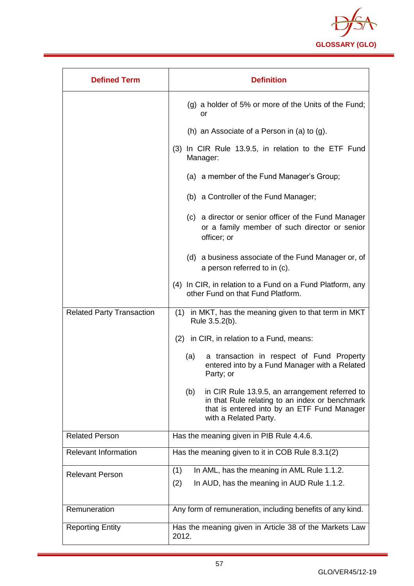

| <b>Defined Term</b>              | <b>Definition</b>                                                                                                                                                               |
|----------------------------------|---------------------------------------------------------------------------------------------------------------------------------------------------------------------------------|
|                                  | $(g)$ a holder of 5% or more of the Units of the Fund;<br>or                                                                                                                    |
|                                  | (h) an Associate of a Person in (a) to $(g)$ .                                                                                                                                  |
|                                  | (3) In CIR Rule 13.9.5, in relation to the ETF Fund<br>Manager:                                                                                                                 |
|                                  | (a) a member of the Fund Manager's Group;                                                                                                                                       |
|                                  | (b) a Controller of the Fund Manager;                                                                                                                                           |
|                                  | (c) a director or senior officer of the Fund Manager<br>or a family member of such director or senior<br>officer; or                                                            |
|                                  | (d) a business associate of the Fund Manager or, of<br>a person referred to in (c).                                                                                             |
|                                  | (4) In CIR, in relation to a Fund on a Fund Platform, any<br>other Fund on that Fund Platform.                                                                                  |
| <b>Related Party Transaction</b> | (1) in MKT, has the meaning given to that term in MKT<br>Rule 3.5.2(b).                                                                                                         |
|                                  | (2) in CIR, in relation to a Fund, means:                                                                                                                                       |
|                                  | (a)<br>a transaction in respect of Fund Property<br>entered into by a Fund Manager with a Related<br>Party; or                                                                  |
|                                  | in CIR Rule 13.9.5, an arrangement referred to<br>(b)<br>in that Rule relating to an index or benchmark<br>that is entered into by an ETF Fund Manager<br>with a Related Party. |
| <b>Related Person</b>            | Has the meaning given in PIB Rule 4.4.6.                                                                                                                                        |
| <b>Relevant Information</b>      | Has the meaning given to it in COB Rule 8.3.1(2)                                                                                                                                |
| <b>Relevant Person</b>           | In AML, has the meaning in AML Rule 1.1.2.<br>(1)<br>(2)<br>In AUD, has the meaning in AUD Rule 1.1.2.                                                                          |
| Remuneration                     | Any form of remuneration, including benefits of any kind.                                                                                                                       |
| <b>Reporting Entity</b>          | Has the meaning given in Article 38 of the Markets Law<br>2012.                                                                                                                 |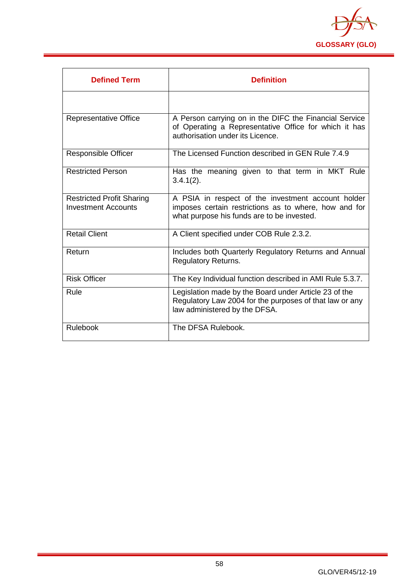

| <b>Defined Term</b>                                            | <b>Definition</b>                                                                                                                                         |
|----------------------------------------------------------------|-----------------------------------------------------------------------------------------------------------------------------------------------------------|
|                                                                |                                                                                                                                                           |
| <b>Representative Office</b>                                   | A Person carrying on in the DIFC the Financial Service<br>of Operating a Representative Office for which it has<br>authorisation under its Licence.       |
| <b>Responsible Officer</b>                                     | The Licensed Function described in GEN Rule 7.4.9                                                                                                         |
| <b>Restricted Person</b>                                       | Has the meaning given to that term in MKT Rule<br>$3.4.1(2)$ .                                                                                            |
| <b>Restricted Profit Sharing</b><br><b>Investment Accounts</b> | A PSIA in respect of the investment account holder<br>imposes certain restrictions as to where, how and for<br>what purpose his funds are to be invested. |
| <b>Retail Client</b>                                           | A Client specified under COB Rule 2.3.2.                                                                                                                  |
| Return                                                         | Includes both Quarterly Regulatory Returns and Annual<br><b>Regulatory Returns.</b>                                                                       |
| <b>Risk Officer</b>                                            | The Key Individual function described in AMI Rule 5.3.7.                                                                                                  |
| Rule                                                           | Legislation made by the Board under Article 23 of the<br>Regulatory Law 2004 for the purposes of that law or any<br>law administered by the DFSA.         |
| Rulebook                                                       | The DFSA Rulebook.                                                                                                                                        |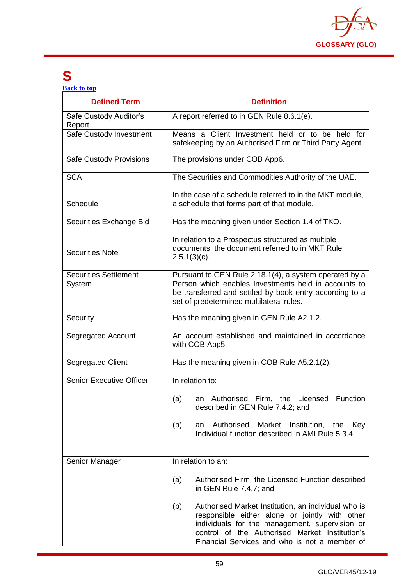

## <span id="page-59-0"></span>**S**

**[Back to top](#page-1-0)**

| <b>Defined Term</b>                    | <b>Definition</b>                                                                                                                                                                                                                                                 |
|----------------------------------------|-------------------------------------------------------------------------------------------------------------------------------------------------------------------------------------------------------------------------------------------------------------------|
| Safe Custody Auditor's<br>Report       | A report referred to in GEN Rule 8.6.1(e).                                                                                                                                                                                                                        |
| Safe Custody Investment                | Means a Client Investment held or to be held for<br>safekeeping by an Authorised Firm or Third Party Agent.                                                                                                                                                       |
| <b>Safe Custody Provisions</b>         | The provisions under COB App6.                                                                                                                                                                                                                                    |
| <b>SCA</b>                             | The Securities and Commodities Authority of the UAE.                                                                                                                                                                                                              |
| Schedule                               | In the case of a schedule referred to in the MKT module,<br>a schedule that forms part of that module.                                                                                                                                                            |
| Securities Exchange Bid                | Has the meaning given under Section 1.4 of TKO.                                                                                                                                                                                                                   |
| <b>Securities Note</b>                 | In relation to a Prospectus structured as multiple<br>documents, the document referred to in MKT Rule<br>$2.5.1(3)(c)$ .                                                                                                                                          |
| <b>Securities Settlement</b><br>System | Pursuant to GEN Rule 2.18.1(4), a system operated by a<br>Person which enables Investments held in accounts to<br>be transferred and settled by book entry according to a<br>set of predetermined multilateral rules.                                             |
| Security                               | Has the meaning given in GEN Rule A2.1.2.                                                                                                                                                                                                                         |
| Segregated Account                     | An account established and maintained in accordance<br>with COB App5.                                                                                                                                                                                             |
| <b>Segregated Client</b>               | Has the meaning given in COB Rule A5.2.1(2).                                                                                                                                                                                                                      |
| <b>Senior Executive Officer</b>        | In relation to:                                                                                                                                                                                                                                                   |
|                                        | an Authorised Firm, the Licensed Function<br>(a)<br>described in GEN Rule 7.4.2; and                                                                                                                                                                              |
|                                        | Authorised<br>Market<br>Institution, the<br>(b)<br>Key<br>an<br>Individual function described in AMI Rule 5.3.4.                                                                                                                                                  |
| Senior Manager                         | In relation to an:                                                                                                                                                                                                                                                |
|                                        | Authorised Firm, the Licensed Function described<br>(a)<br>in GEN Rule 7.4.7; and                                                                                                                                                                                 |
|                                        | Authorised Market Institution, an individual who is<br>(b)<br>responsible either alone or jointly with other<br>individuals for the management, supervision or<br>control of the Authorised Market Institution's<br>Financial Services and who is not a member of |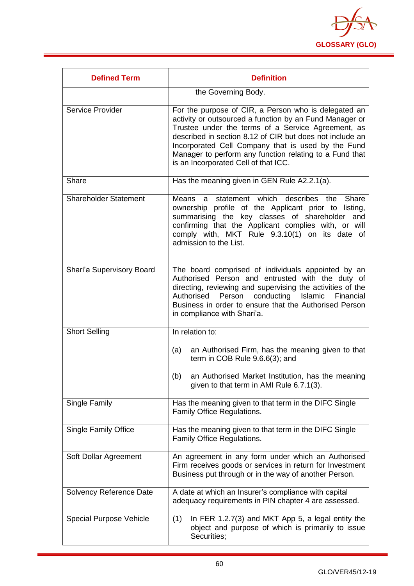

| <b>Defined Term</b>            | <b>Definition</b>                                                                                                                                                                                                                                                                                                                                                                          |
|--------------------------------|--------------------------------------------------------------------------------------------------------------------------------------------------------------------------------------------------------------------------------------------------------------------------------------------------------------------------------------------------------------------------------------------|
|                                | the Governing Body.                                                                                                                                                                                                                                                                                                                                                                        |
| Service Provider               | For the purpose of CIR, a Person who is delegated an<br>activity or outsourced a function by an Fund Manager or<br>Trustee under the terms of a Service Agreement, as<br>described in section 8.12 of CIR but does not include an<br>Incorporated Cell Company that is used by the Fund<br>Manager to perform any function relating to a Fund that<br>is an Incorporated Cell of that ICC. |
| Share                          | Has the meaning given in GEN Rule A2.2.1(a).                                                                                                                                                                                                                                                                                                                                               |
| <b>Shareholder Statement</b>   | describes<br>Means<br>a statement which<br>the<br>Share<br>ownership profile of the Applicant prior to listing,<br>summarising the key classes of shareholder and<br>confirming that the Applicant complies with, or will<br>comply with, MKT Rule 9.3.10(1) on its date of<br>admission to the List.                                                                                      |
| Shari'a Supervisory Board      | The board comprised of individuals appointed by an<br>Authorised Person and entrusted with the duty of<br>directing, reviewing and supervising the activities of the<br>Authorised<br>Person conducting<br>Islamic<br>Financial<br>Business in order to ensure that the Authorised Person<br>in compliance with Shari'a.                                                                   |
| <b>Short Selling</b>           | In relation to:                                                                                                                                                                                                                                                                                                                                                                            |
|                                | an Authorised Firm, has the meaning given to that<br>(a)<br>term in COB Rule 9.6.6(3); and                                                                                                                                                                                                                                                                                                 |
|                                | an Authorised Market Institution, has the meaning<br>(b)<br>given to that term in AMI Rule 6.7.1(3).                                                                                                                                                                                                                                                                                       |
| Single Family                  | Has the meaning given to that term in the DIFC Single<br>Family Office Regulations.                                                                                                                                                                                                                                                                                                        |
| <b>Single Family Office</b>    | Has the meaning given to that term in the DIFC Single<br>Family Office Regulations.                                                                                                                                                                                                                                                                                                        |
| Soft Dollar Agreement          | An agreement in any form under which an Authorised<br>Firm receives goods or services in return for Investment<br>Business put through or in the way of another Person.                                                                                                                                                                                                                    |
| Solvency Reference Date        | A date at which an Insurer's compliance with capital<br>adequacy requirements in PIN chapter 4 are assessed.                                                                                                                                                                                                                                                                               |
| <b>Special Purpose Vehicle</b> | In FER 1.2.7(3) and MKT App 5, a legal entity the<br>(1)<br>object and purpose of which is primarily to issue<br>Securities;                                                                                                                                                                                                                                                               |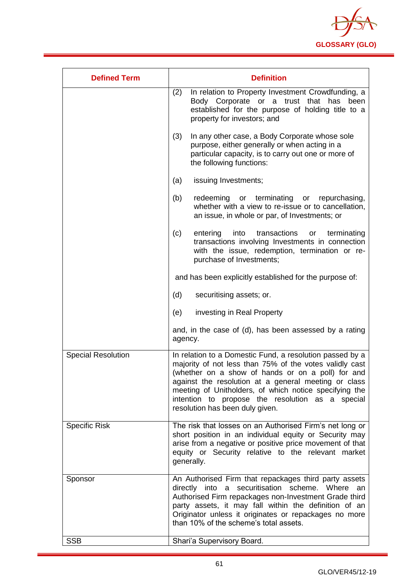

| <b>Defined Term</b>       | <b>Definition</b>                                                                                                                                                                                                                                                                                                                                                                 |
|---------------------------|-----------------------------------------------------------------------------------------------------------------------------------------------------------------------------------------------------------------------------------------------------------------------------------------------------------------------------------------------------------------------------------|
|                           | (2)<br>In relation to Property Investment Crowdfunding, a<br>Body Corporate or a trust that has<br>been<br>established for the purpose of holding title to a<br>property for investors; and                                                                                                                                                                                       |
|                           | (3)<br>In any other case, a Body Corporate whose sole<br>purpose, either generally or when acting in a<br>particular capacity, is to carry out one or more of<br>the following functions:                                                                                                                                                                                         |
|                           | issuing Investments;<br>(a)                                                                                                                                                                                                                                                                                                                                                       |
|                           | or terminating<br>(b)<br>redeeming<br>repurchasing,<br>or<br>whether with a view to re-issue or to cancellation,<br>an issue, in whole or par, of Investments; or                                                                                                                                                                                                                 |
|                           | transactions<br>(c)<br>entering<br>into<br>terminating<br>or<br>transactions involving Investments in connection<br>with the issue, redemption, termination or re-<br>purchase of Investments;                                                                                                                                                                                    |
|                           | and has been explicitly established for the purpose of:                                                                                                                                                                                                                                                                                                                           |
|                           | (d)<br>securitising assets; or.                                                                                                                                                                                                                                                                                                                                                   |
|                           | investing in Real Property<br>(e)                                                                                                                                                                                                                                                                                                                                                 |
|                           | and, in the case of (d), has been assessed by a rating<br>agency.                                                                                                                                                                                                                                                                                                                 |
| <b>Special Resolution</b> | In relation to a Domestic Fund, a resolution passed by a<br>majority of not less than 75% of the votes validly cast<br>(whether on a show of hands or on a poll) for and<br>against the resolution at a general meeting or class<br>meeting of Unitholders, of which notice specifying the<br>intention to propose the resolution as a special<br>resolution has been duly given. |
| <b>Specific Risk</b>      | The risk that losses on an Authorised Firm's net long or<br>short position in an individual equity or Security may<br>arise from a negative or positive price movement of that<br>equity or Security relative to the relevant market<br>generally.                                                                                                                                |
| Sponsor                   | An Authorised Firm that repackages third party assets<br>securitisation scheme. Where<br>directly into a<br>an<br>Authorised Firm repackages non-Investment Grade third<br>party assets, it may fall within the definition of an<br>Originator unless it originates or repackages no more<br>than 10% of the scheme's total assets.                                               |
| <b>SSB</b>                | Shari'a Supervisory Board.                                                                                                                                                                                                                                                                                                                                                        |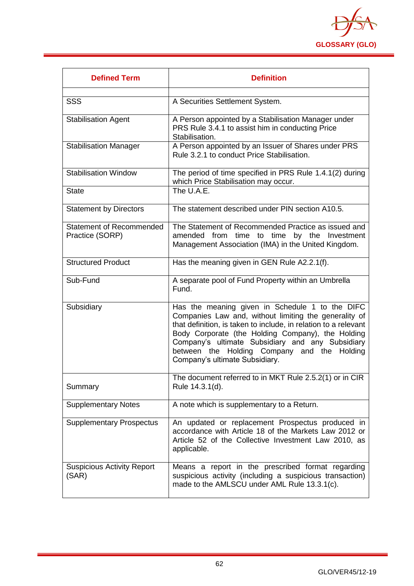

| <b>Defined Term</b>                                | <b>Definition</b>                                                                                                                                                                                                                                                                                                                                                     |
|----------------------------------------------------|-----------------------------------------------------------------------------------------------------------------------------------------------------------------------------------------------------------------------------------------------------------------------------------------------------------------------------------------------------------------------|
|                                                    |                                                                                                                                                                                                                                                                                                                                                                       |
| <b>SSS</b>                                         | A Securities Settlement System.                                                                                                                                                                                                                                                                                                                                       |
| <b>Stabilisation Agent</b>                         | A Person appointed by a Stabilisation Manager under<br>PRS Rule 3.4.1 to assist him in conducting Price<br>Stabilisation.                                                                                                                                                                                                                                             |
| <b>Stabilisation Manager</b>                       | A Person appointed by an Issuer of Shares under PRS<br>Rule 3.2.1 to conduct Price Stabilisation.                                                                                                                                                                                                                                                                     |
| <b>Stabilisation Window</b>                        | The period of time specified in PRS Rule 1.4.1(2) during<br>which Price Stabilisation may occur.                                                                                                                                                                                                                                                                      |
| <b>State</b>                                       | The U.A.E.                                                                                                                                                                                                                                                                                                                                                            |
| <b>Statement by Directors</b>                      | The statement described under PIN section A10.5.                                                                                                                                                                                                                                                                                                                      |
| <b>Statement of Recommended</b><br>Practice (SORP) | The Statement of Recommended Practice as issued and<br>amended from time to time by the Investment<br>Management Association (IMA) in the United Kingdom.                                                                                                                                                                                                             |
| <b>Structured Product</b>                          | Has the meaning given in GEN Rule A2.2.1(f).                                                                                                                                                                                                                                                                                                                          |
| Sub-Fund                                           | A separate pool of Fund Property within an Umbrella<br>Fund.                                                                                                                                                                                                                                                                                                          |
| Subsidiary                                         | Has the meaning given in Schedule 1 to the DIFC<br>Companies Law and, without limiting the generality of<br>that definition, is taken to include, in relation to a relevant<br>Body Corporate (the Holding Company), the Holding<br>Company's ultimate Subsidiary and any Subsidiary<br>between the Holding Company and the Holding<br>Company's ultimate Subsidiary. |
| Summary                                            | The document referred to in MKT Rule 2.5.2(1) or in CIR<br>Rule 14.3.1(d).                                                                                                                                                                                                                                                                                            |
| <b>Supplementary Notes</b>                         | A note which is supplementary to a Return.                                                                                                                                                                                                                                                                                                                            |
| <b>Supplementary Prospectus</b>                    | An updated or replacement Prospectus produced in<br>accordance with Article 18 of the Markets Law 2012 or<br>Article 52 of the Collective Investment Law 2010, as<br>applicable.                                                                                                                                                                                      |
| <b>Suspicious Activity Report</b><br>(SAR)         | Means a report in the prescribed format regarding<br>suspicious activity (including a suspicious transaction)<br>made to the AMLSCU under AML Rule 13.3.1(c).                                                                                                                                                                                                         |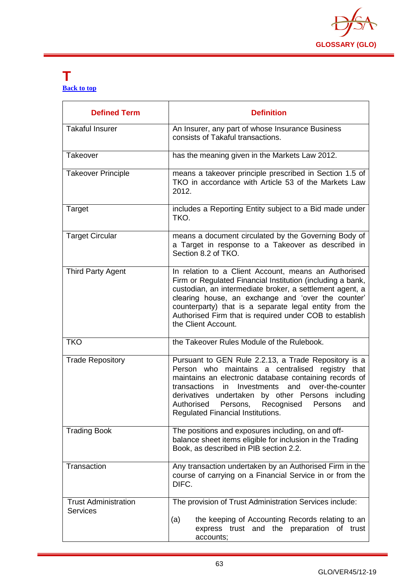

#### <span id="page-63-0"></span>**T [Back to top](#page-1-0)**

| <b>Defined Term</b>                            | <b>Definition</b>                                                                                                                                                                                                                                                                                                                                                                       |
|------------------------------------------------|-----------------------------------------------------------------------------------------------------------------------------------------------------------------------------------------------------------------------------------------------------------------------------------------------------------------------------------------------------------------------------------------|
| <b>Takaful Insurer</b>                         | An Insurer, any part of whose Insurance Business<br>consists of Takaful transactions.                                                                                                                                                                                                                                                                                                   |
| Takeover                                       | has the meaning given in the Markets Law 2012.                                                                                                                                                                                                                                                                                                                                          |
| <b>Takeover Principle</b>                      | means a takeover principle prescribed in Section 1.5 of<br>TKO in accordance with Article 53 of the Markets Law<br>2012.                                                                                                                                                                                                                                                                |
| Target                                         | includes a Reporting Entity subject to a Bid made under<br>TKO.                                                                                                                                                                                                                                                                                                                         |
| <b>Target Circular</b>                         | means a document circulated by the Governing Body of<br>a Target in response to a Takeover as described in<br>Section 8.2 of TKO.                                                                                                                                                                                                                                                       |
| <b>Third Party Agent</b>                       | In relation to a Client Account, means an Authorised<br>Firm or Regulated Financial Institution (including a bank,<br>custodian, an intermediate broker, a settlement agent, a<br>clearing house, an exchange and 'over the counter'<br>counterparty) that is a separate legal entity from the<br>Authorised Firm that is required under COB to establish<br>the Client Account.        |
| <b>TKO</b>                                     | the Takeover Rules Module of the Rulebook.                                                                                                                                                                                                                                                                                                                                              |
| <b>Trade Repository</b>                        | Pursuant to GEN Rule 2.2.13, a Trade Repository is a<br>Person who maintains a centralised registry that<br>maintains an electronic database containing records of<br>transactions<br>and<br>Investments<br>over-the-counter<br>in.<br>derivatives undertaken by other Persons including<br>Authorised<br>Persons,<br>Recognised<br>Persons<br>and<br>Regulated Financial Institutions. |
| <b>Trading Book</b>                            | The positions and exposures including, on and off-<br>balance sheet items eligible for inclusion in the Trading<br>Book, as described in PIB section 2.2.                                                                                                                                                                                                                               |
| Transaction                                    | Any transaction undertaken by an Authorised Firm in the<br>course of carrying on a Financial Service in or from the<br>DIFC.                                                                                                                                                                                                                                                            |
| <b>Trust Administration</b><br><b>Services</b> | The provision of Trust Administration Services include:                                                                                                                                                                                                                                                                                                                                 |
|                                                | the keeping of Accounting Records relating to an<br>(a)<br>express trust and the preparation of trust<br>accounts;                                                                                                                                                                                                                                                                      |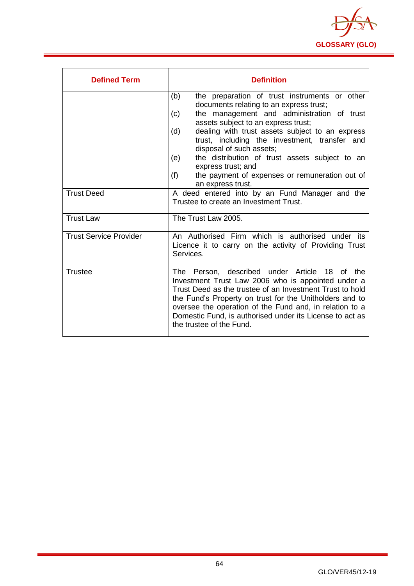

| <b>Defined Term</b>           | <b>Definition</b>                                                                                                                                                                                                                                                                                                                                                                |
|-------------------------------|----------------------------------------------------------------------------------------------------------------------------------------------------------------------------------------------------------------------------------------------------------------------------------------------------------------------------------------------------------------------------------|
|                               | the preparation of trust instruments or other<br>(b)<br>documents relating to an express trust;                                                                                                                                                                                                                                                                                  |
|                               | the management and administration of trust<br>(c)<br>assets subject to an express trust;                                                                                                                                                                                                                                                                                         |
|                               | dealing with trust assets subject to an express<br>(d)<br>trust, including the investment, transfer and<br>disposal of such assets;                                                                                                                                                                                                                                              |
|                               | the distribution of trust assets subject to an<br>(e)<br>express trust; and                                                                                                                                                                                                                                                                                                      |
|                               | (f)<br>the payment of expenses or remuneration out of<br>an express trust.                                                                                                                                                                                                                                                                                                       |
| <b>Trust Deed</b>             | A deed entered into by an Fund Manager and the<br>Trustee to create an Investment Trust.                                                                                                                                                                                                                                                                                         |
| <b>Trust Law</b>              | The Trust Law 2005.                                                                                                                                                                                                                                                                                                                                                              |
| <b>Trust Service Provider</b> | An Authorised Firm which is authorised under its<br>Licence it to carry on the activity of Providing Trust<br>Services.                                                                                                                                                                                                                                                          |
| <b>Trustee</b>                | The Person, described under Article 18<br>of the<br>Investment Trust Law 2006 who is appointed under a<br>Trust Deed as the trustee of an Investment Trust to hold<br>the Fund's Property on trust for the Unitholders and to<br>oversee the operation of the Fund and, in relation to a<br>Domestic Fund, is authorised under its License to act as<br>the trustee of the Fund. |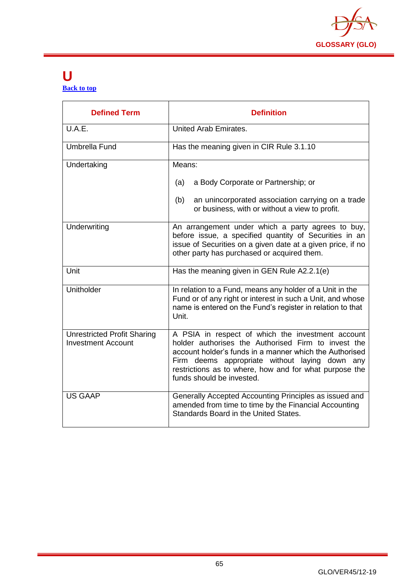

#### <span id="page-65-0"></span>**U [Back to top](#page-1-0)**

| <b>Defined Term</b>                                             | <b>Definition</b>                                                                                                                                                                                                                                                                                            |
|-----------------------------------------------------------------|--------------------------------------------------------------------------------------------------------------------------------------------------------------------------------------------------------------------------------------------------------------------------------------------------------------|
| U.A.E.                                                          | United Arab Emirates.                                                                                                                                                                                                                                                                                        |
| Umbrella Fund                                                   | Has the meaning given in CIR Rule 3.1.10                                                                                                                                                                                                                                                                     |
| Undertaking                                                     | Means:                                                                                                                                                                                                                                                                                                       |
|                                                                 | (a)<br>a Body Corporate or Partnership; or                                                                                                                                                                                                                                                                   |
|                                                                 | an unincorporated association carrying on a trade<br>(b)<br>or business, with or without a view to profit.                                                                                                                                                                                                   |
| Underwriting                                                    | An arrangement under which a party agrees to buy,<br>before issue, a specified quantity of Securities in an<br>issue of Securities on a given date at a given price, if no<br>other party has purchased or acquired them.                                                                                    |
| Unit                                                            | Has the meaning given in GEN Rule A2.2.1(e)                                                                                                                                                                                                                                                                  |
| Unitholder                                                      | In relation to a Fund, means any holder of a Unit in the<br>Fund or of any right or interest in such a Unit, and whose<br>name is entered on the Fund's register in relation to that<br>Unit.                                                                                                                |
| <b>Unrestricted Profit Sharing</b><br><b>Investment Account</b> | A PSIA in respect of which the investment account<br>holder authorises the Authorised Firm to invest the<br>account holder's funds in a manner which the Authorised<br>Firm deems appropriate without laying down any<br>restrictions as to where, how and for what purpose the<br>funds should be invested. |
| <b>US GAAP</b>                                                  | Generally Accepted Accounting Principles as issued and<br>amended from time to time by the Financial Accounting<br>Standards Board in the United States.                                                                                                                                                     |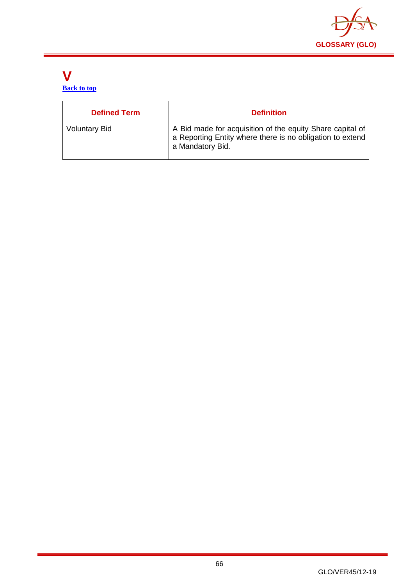

#### <span id="page-66-0"></span>**V [Back to top](#page-1-0)**

| <b>Defined Term</b>  | <b>Definition</b>                                                                                                                          |
|----------------------|--------------------------------------------------------------------------------------------------------------------------------------------|
| <b>Voluntary Bid</b> | A Bid made for acquisition of the equity Share capital of<br>a Reporting Entity where there is no obligation to extend<br>a Mandatory Bid. |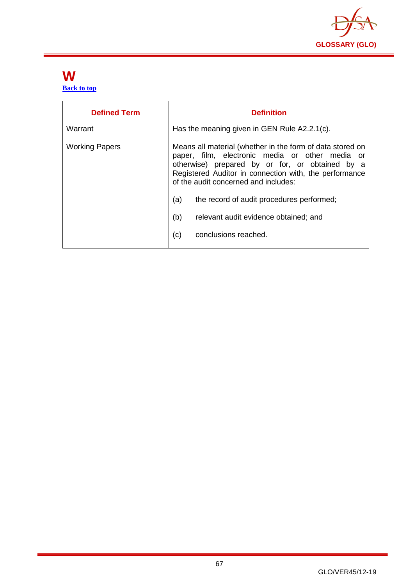

#### <span id="page-67-0"></span>**W [Back to top](#page-1-0)**

| <b>Defined Term</b>   | <b>Definition</b>                                                                                                                                                                                                                                                                                                                                                                                    |
|-----------------------|------------------------------------------------------------------------------------------------------------------------------------------------------------------------------------------------------------------------------------------------------------------------------------------------------------------------------------------------------------------------------------------------------|
| Warrant               | Has the meaning given in GEN Rule A2.2.1(c).                                                                                                                                                                                                                                                                                                                                                         |
| <b>Working Papers</b> | Means all material (whether in the form of data stored on<br>paper, film, electronic media or other media or<br>otherwise) prepared by or for, or obtained by a<br>Registered Auditor in connection with, the performance<br>of the audit concerned and includes:<br>the record of audit procedures performed;<br>(a)<br>(b)<br>relevant audit evidence obtained; and<br>conclusions reached.<br>(c) |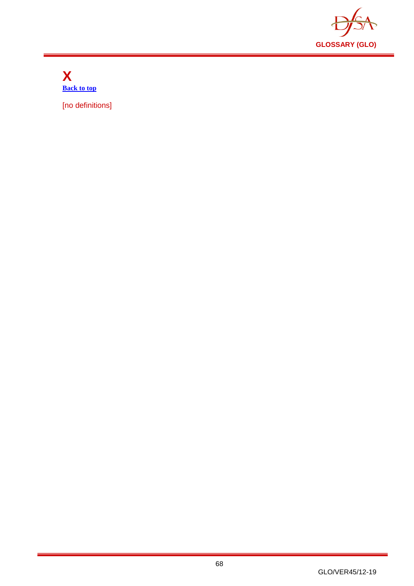

<span id="page-68-0"></span>**X [Back to top](#page-1-0)**

[no definitions]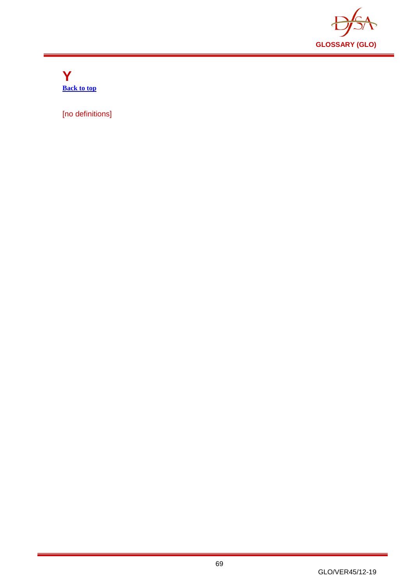

<span id="page-69-0"></span>**Y [Back to top](#page-1-0)**

[no definitions]